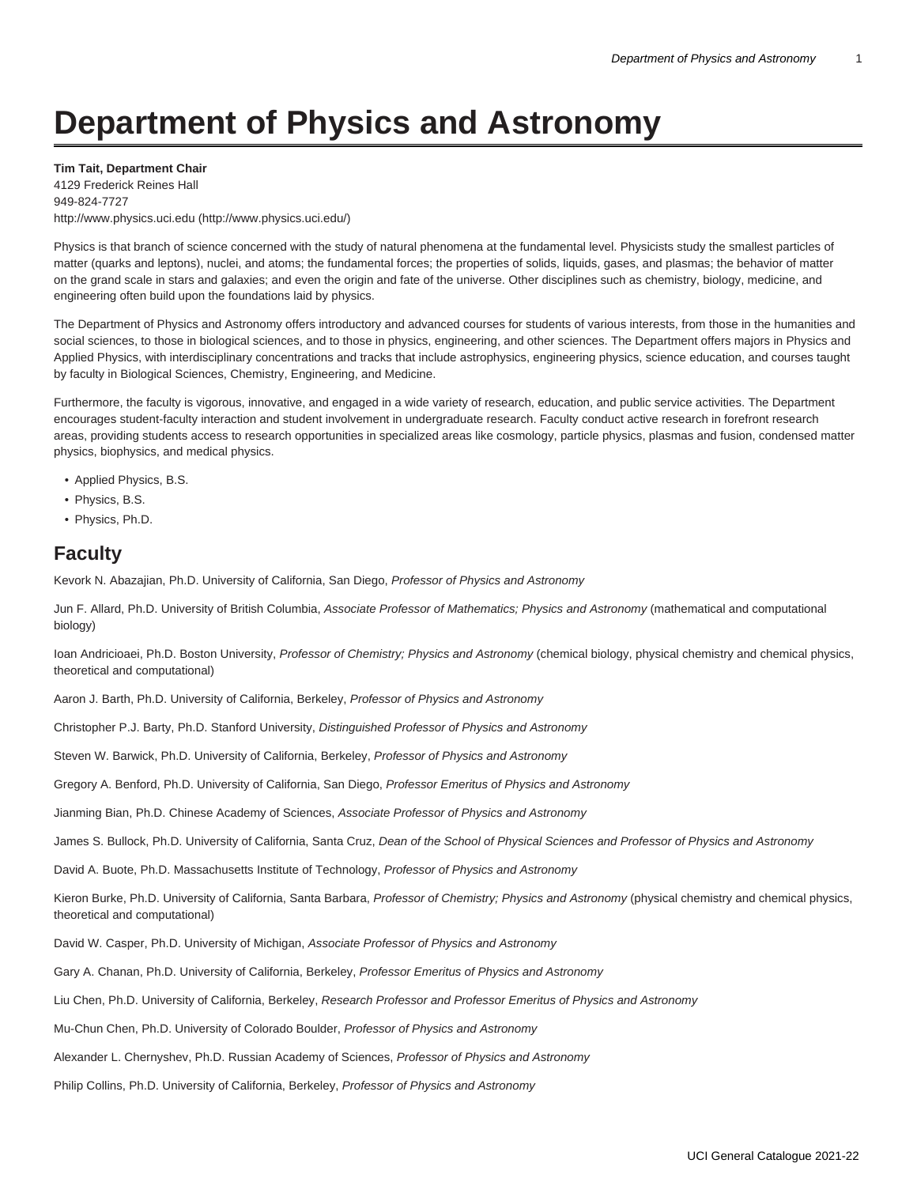# **Department of Physics and Astronomy**

**Tim Tait, Department Chair**

4129 Frederick Reines Hall 949-824-7727 [http://www.physics.uci.edu](http://www.physics.uci.edu/) [\(http://www.physics.uci.edu/\)](http://www.physics.uci.edu/)

Physics is that branch of science concerned with the study of natural phenomena at the fundamental level. Physicists study the smallest particles of matter (quarks and leptons), nuclei, and atoms; the fundamental forces; the properties of solids, liquids, gases, and plasmas; the behavior of matter on the grand scale in stars and galaxies; and even the origin and fate of the universe. Other disciplines such as chemistry, biology, medicine, and engineering often build upon the foundations laid by physics.

The Department of Physics and Astronomy offers introductory and advanced courses for students of various interests, from those in the humanities and social sciences, to those in biological sciences, and to those in physics, engineering, and other sciences. The Department offers majors in Physics and Applied Physics, with interdisciplinary concentrations and tracks that include astrophysics, engineering physics, science education, and courses taught by faculty in Biological Sciences, Chemistry, Engineering, and Medicine.

Furthermore, the faculty is vigorous, innovative, and engaged in a wide variety of research, education, and public service activities. The Department encourages student-faculty interaction and student involvement in undergraduate research. Faculty conduct active research in forefront research areas, providing students access to research opportunities in specialized areas like cosmology, particle physics, plasmas and fusion, condensed matter physics, biophysics, and medical physics.

- Applied Physics, B.S.
- Physics, B.S.
- Physics, Ph.D.

# **Faculty**

Kevork N. Abazajian, Ph.D. University of California, San Diego, Professor of Physics and Astronomy

Jun F. Allard, Ph.D. University of British Columbia, Associate Professor of Mathematics; Physics and Astronomy (mathematical and computational biology)

Ioan Andricioaei, Ph.D. Boston University, Professor of Chemistry; Physics and Astronomy (chemical biology, physical chemistry and chemical physics, theoretical and computational)

Aaron J. Barth, Ph.D. University of California, Berkeley, Professor of Physics and Astronomy

Christopher P.J. Barty, Ph.D. Stanford University, Distinguished Professor of Physics and Astronomy

Steven W. Barwick, Ph.D. University of California, Berkeley, Professor of Physics and Astronomy

Gregory A. Benford, Ph.D. University of California, San Diego, Professor Emeritus of Physics and Astronomy

Jianming Bian, Ph.D. Chinese Academy of Sciences, Associate Professor of Physics and Astronomy

James S. Bullock, Ph.D. University of California, Santa Cruz, Dean of the School of Physical Sciences and Professor of Physics and Astronomy

David A. Buote, Ph.D. Massachusetts Institute of Technology, Professor of Physics and Astronomy

Kieron Burke, Ph.D. University of California, Santa Barbara, Professor of Chemistry; Physics and Astronomy (physical chemistry and chemical physics, theoretical and computational)

David W. Casper, Ph.D. University of Michigan, Associate Professor of Physics and Astronomy

Gary A. Chanan, Ph.D. University of California, Berkeley, Professor Emeritus of Physics and Astronomy

Liu Chen, Ph.D. University of California, Berkeley, Research Professor and Professor Emeritus of Physics and Astronomy

Mu-Chun Chen, Ph.D. University of Colorado Boulder, Professor of Physics and Astronomy

Alexander L. Chernyshev, Ph.D. Russian Academy of Sciences, Professor of Physics and Astronomy

Philip Collins, Ph.D. University of California, Berkeley, Professor of Physics and Astronomy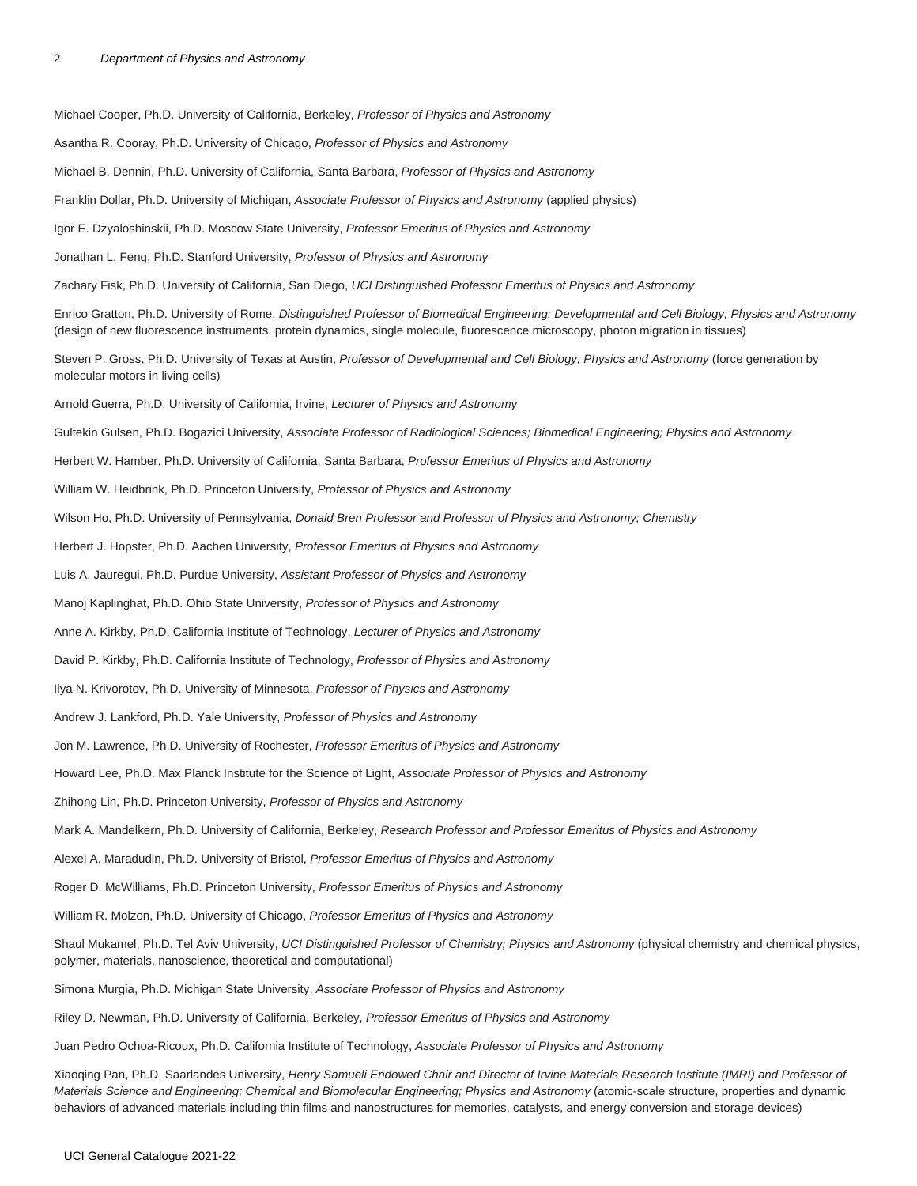Michael Cooper, Ph.D. University of California, Berkeley, Professor of Physics and Astronomy Asantha R. Cooray, Ph.D. University of Chicago, Professor of Physics and Astronomy Michael B. Dennin, Ph.D. University of California, Santa Barbara, Professor of Physics and Astronomy Franklin Dollar, Ph.D. University of Michigan, Associate Professor of Physics and Astronomy (applied physics) Igor E. Dzyaloshinskii, Ph.D. Moscow State University, Professor Emeritus of Physics and Astronomy Jonathan L. Feng, Ph.D. Stanford University, Professor of Physics and Astronomy Zachary Fisk, Ph.D. University of California, San Diego, UCI Distinguished Professor Emeritus of Physics and Astronomy Enrico Gratton, Ph.D. University of Rome, Distinguished Professor of Biomedical Engineering; Developmental and Cell Biology; Physics and Astronomy (design of new fluorescence instruments, protein dynamics, single molecule, fluorescence microscopy, photon migration in tissues) Steven P. Gross, Ph.D. University of Texas at Austin, Professor of Developmental and Cell Biology; Physics and Astronomy (force generation by molecular motors in living cells) Arnold Guerra, Ph.D. University of California, Irvine, Lecturer of Physics and Astronomy Gultekin Gulsen, Ph.D. Bogazici University, Associate Professor of Radiological Sciences; Biomedical Engineering; Physics and Astronomy Herbert W. Hamber, Ph.D. University of California, Santa Barbara, Professor Emeritus of Physics and Astronomy William W. Heidbrink, Ph.D. Princeton University, Professor of Physics and Astronomy Wilson Ho, Ph.D. University of Pennsylvania, Donald Bren Professor and Professor of Physics and Astronomy; Chemistry Herbert J. Hopster, Ph.D. Aachen University, Professor Emeritus of Physics and Astronomy Luis A. Jauregui, Ph.D. Purdue University, Assistant Professor of Physics and Astronomy Manoj Kaplinghat, Ph.D. Ohio State University, Professor of Physics and Astronomy Anne A. Kirkby, Ph.D. California Institute of Technology, Lecturer of Physics and Astronomy David P. Kirkby, Ph.D. California Institute of Technology, Professor of Physics and Astronomy Ilya N. Krivorotov, Ph.D. University of Minnesota, Professor of Physics and Astronomy Andrew J. Lankford, Ph.D. Yale University, Professor of Physics and Astronomy Jon M. Lawrence, Ph.D. University of Rochester, Professor Emeritus of Physics and Astronomy Howard Lee, Ph.D. Max Planck Institute for the Science of Light, Associate Professor of Physics and Astronomy Zhihong Lin, Ph.D. Princeton University, Professor of Physics and Astronomy Mark A. Mandelkern, Ph.D. University of California, Berkeley, Research Professor and Professor Emeritus of Physics and Astronomy Alexei A. Maradudin, Ph.D. University of Bristol, Professor Emeritus of Physics and Astronomy Roger D. McWilliams, Ph.D. Princeton University, Professor Emeritus of Physics and Astronomy William R. Molzon, Ph.D. University of Chicago, Professor Emeritus of Physics and Astronomy Shaul Mukamel, Ph.D. Tel Aviv University, UCI Distinguished Professor of Chemistry; Physics and Astronomy (physical chemistry and chemical physics, polymer, materials, nanoscience, theoretical and computational) Simona Murgia, Ph.D. Michigan State University, Associate Professor of Physics and Astronomy Riley D. Newman, Ph.D. University of California, Berkeley, Professor Emeritus of Physics and Astronomy

Juan Pedro Ochoa-Ricoux, Ph.D. California Institute of Technology, Associate Professor of Physics and Astronomy

Xiaoqing Pan, Ph.D. Saarlandes University, Henry Samueli Endowed Chair and Director of Irvine Materials Research Institute (IMRI) and Professor of Materials Science and Engineering; Chemical and Biomolecular Engineering; Physics and Astronomy (atomic-scale structure, properties and dynamic behaviors of advanced materials including thin films and nanostructures for memories, catalysts, and energy conversion and storage devices)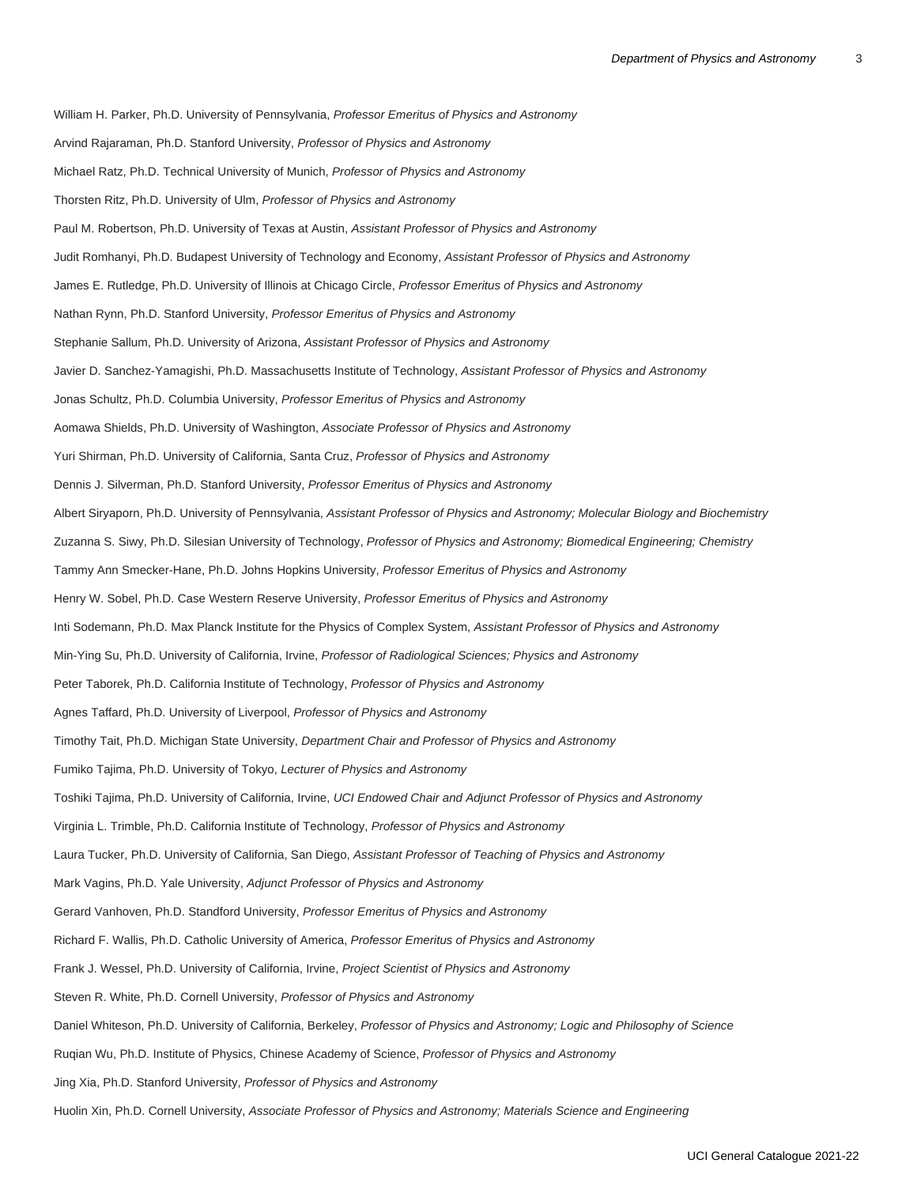William H. Parker, Ph.D. University of Pennsylvania, Professor Emeritus of Physics and Astronomy Arvind Rajaraman, Ph.D. Stanford University, Professor of Physics and Astronomy Michael Ratz, Ph.D. Technical University of Munich, Professor of Physics and Astronomy Thorsten Ritz, Ph.D. University of Ulm, Professor of Physics and Astronomy Paul M. Robertson, Ph.D. University of Texas at Austin, Assistant Professor of Physics and Astronomy Judit Romhanyi, Ph.D. Budapest University of Technology and Economy, Assistant Professor of Physics and Astronomy James E. Rutledge, Ph.D. University of Illinois at Chicago Circle, Professor Emeritus of Physics and Astronomy Nathan Rynn, Ph.D. Stanford University, Professor Emeritus of Physics and Astronomy Stephanie Sallum, Ph.D. University of Arizona, Assistant Professor of Physics and Astronomy Javier D. Sanchez-Yamagishi, Ph.D. Massachusetts Institute of Technology, Assistant Professor of Physics and Astronomy Jonas Schultz, Ph.D. Columbia University, Professor Emeritus of Physics and Astronomy Aomawa Shields, Ph.D. University of Washington, Associate Professor of Physics and Astronomy Yuri Shirman, Ph.D. University of California, Santa Cruz, Professor of Physics and Astronomy Dennis J. Silverman, Ph.D. Stanford University, Professor Emeritus of Physics and Astronomy Albert Siryaporn, Ph.D. University of Pennsylvania, Assistant Professor of Physics and Astronomy; Molecular Biology and Biochemistry Zuzanna S. Siwy, Ph.D. Silesian University of Technology, Professor of Physics and Astronomy; Biomedical Engineering; Chemistry Tammy Ann Smecker-Hane, Ph.D. Johns Hopkins University, Professor Emeritus of Physics and Astronomy Henry W. Sobel, Ph.D. Case Western Reserve University, Professor Emeritus of Physics and Astronomy Inti Sodemann, Ph.D. Max Planck Institute for the Physics of Complex System, Assistant Professor of Physics and Astronomy Min-Ying Su, Ph.D. University of California, Irvine, Professor of Radiological Sciences; Physics and Astronomy Peter Taborek, Ph.D. California Institute of Technology, Professor of Physics and Astronomy Agnes Taffard, Ph.D. University of Liverpool, Professor of Physics and Astronomy Timothy Tait, Ph.D. Michigan State University, Department Chair and Professor of Physics and Astronomy Fumiko Tajima, Ph.D. University of Tokyo, Lecturer of Physics and Astronomy Toshiki Tajima, Ph.D. University of California, Irvine, UCI Endowed Chair and Adjunct Professor of Physics and Astronomy Virginia L. Trimble, Ph.D. California Institute of Technology, Professor of Physics and Astronomy Laura Tucker, Ph.D. University of California, San Diego, Assistant Professor of Teaching of Physics and Astronomy Mark Vagins, Ph.D. Yale University, Adjunct Professor of Physics and Astronomy Gerard Vanhoven, Ph.D. Standford University, Professor Emeritus of Physics and Astronomy Richard F. Wallis, Ph.D. Catholic University of America, Professor Emeritus of Physics and Astronomy Frank J. Wessel, Ph.D. University of California, Irvine, Project Scientist of Physics and Astronomy Steven R. White, Ph.D. Cornell University, Professor of Physics and Astronomy Daniel Whiteson, Ph.D. University of California, Berkeley, Professor of Physics and Astronomy; Logic and Philosophy of Science Ruqian Wu, Ph.D. Institute of Physics, Chinese Academy of Science, Professor of Physics and Astronomy Jing Xia, Ph.D. Stanford University, Professor of Physics and Astronomy

Huolin Xin, Ph.D. Cornell University, Associate Professor of Physics and Astronomy; Materials Science and Engineering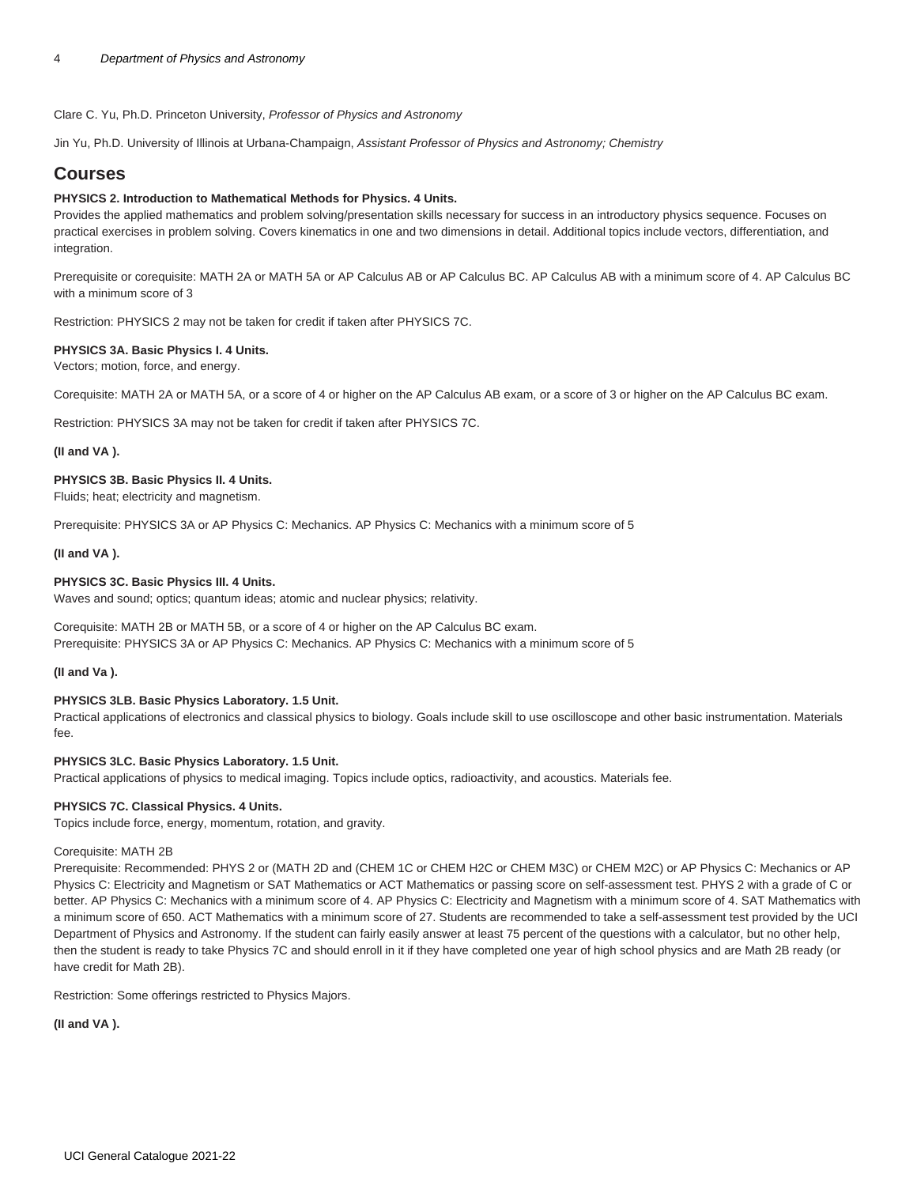Clare C. Yu, Ph.D. Princeton University, Professor of Physics and Astronomy

Jin Yu, Ph.D. University of Illinois at Urbana-Champaign, Assistant Professor of Physics and Astronomy; Chemistry

# **Courses**

# **PHYSICS 2. Introduction to Mathematical Methods for Physics. 4 Units.**

Provides the applied mathematics and problem solving/presentation skills necessary for success in an introductory physics sequence. Focuses on practical exercises in problem solving. Covers kinematics in one and two dimensions in detail. Additional topics include vectors, differentiation, and integration.

Prerequisite or corequisite: [MATH 2A](/search/?P=MATH%202A) or [MATH 5A](/search/?P=MATH%205A) or AP Calculus AB or AP Calculus BC. AP Calculus AB with a minimum score of 4. AP Calculus BC with a minimum score of 3

Restriction: [PHYSICS 2](/search/?P=PHYSICS%202) may not be taken for credit if taken after [PHYSICS 7C](/search/?P=PHYSICS%207C).

# **PHYSICS 3A. Basic Physics I. 4 Units.**

Vectors; motion, force, and energy.

Corequisite: [MATH 2A](/search/?P=MATH%202A) or [MATH 5A,](/search/?P=MATH%205A) or a score of 4 or higher on the AP Calculus AB exam, or a score of 3 or higher on the AP Calculus BC exam.

Restriction: [PHYSICS 3A](/search/?P=PHYSICS%203A) may not be taken for credit if taken after [PHYSICS 7C](/search/?P=PHYSICS%207C).

# **(II and VA ).**

## **PHYSICS 3B. Basic Physics II. 4 Units.**

Fluids; heat; electricity and magnetism.

Prerequisite: [PHYSICS 3A](/search/?P=PHYSICS%203A) or AP Physics C: Mechanics. AP Physics C: Mechanics with a minimum score of 5

## **(II and VA ).**

## **PHYSICS 3C. Basic Physics III. 4 Units.**

Waves and sound; optics; quantum ideas; atomic and nuclear physics; relativity.

Corequisite: [MATH 2B](/search/?P=MATH%202B) or [MATH 5B,](/search/?P=MATH%205B) or a score of 4 or higher on the AP Calculus BC exam. Prerequisite: [PHYSICS 3A](/search/?P=PHYSICS%203A) or AP Physics C: Mechanics. AP Physics C: Mechanics with a minimum score of 5

#### **(II and Va ).**

# **PHYSICS 3LB. Basic Physics Laboratory. 1.5 Unit.**

Practical applications of electronics and classical physics to biology. Goals include skill to use oscilloscope and other basic instrumentation. Materials fee.

# **PHYSICS 3LC. Basic Physics Laboratory. 1.5 Unit.**

Practical applications of physics to medical imaging. Topics include optics, radioactivity, and acoustics. Materials fee.

#### **PHYSICS 7C. Classical Physics. 4 Units.**

Topics include force, energy, momentum, rotation, and gravity.

#### Corequisite: [MATH 2B](/search/?P=MATH%202B)

Prerequisite: Recommended: [PHYS 2](/search/?P=PHYS%202) or [\(MATH 2D](/search/?P=MATH%202D) and [\(CHEM 1C](/search/?P=CHEM%201C) or [CHEM H2C](/search/?P=CHEM%20H2C) or [CHEM M3C\)](/search/?P=CHEM%20M3C) or [CHEM M2C\)](/search/?P=CHEM%20M2C) or AP Physics C: Mechanics or AP Physics C: Electricity and Magnetism or SAT Mathematics or ACT Mathematics or passing score on self-assessment test. [PHYS 2](/search/?P=PHYS%202) with a grade of C or better. AP Physics C: Mechanics with a minimum score of 4. AP Physics C: Electricity and Magnetism with a minimum score of 4. SAT Mathematics with a minimum score of 650. ACT Mathematics with a minimum score of 27. Students are recommended to take a self-assessment test provided by the UCI Department of Physics and Astronomy. If the student can fairly easily answer at least 75 percent of the questions with a calculator, but no other help, then the student is ready to take Physics 7C and should enroll in it if they have completed one year of high school physics and are Math 2B ready (or have credit for Math 2B).

Restriction: Some offerings restricted to Physics Majors.

**(II and VA ).**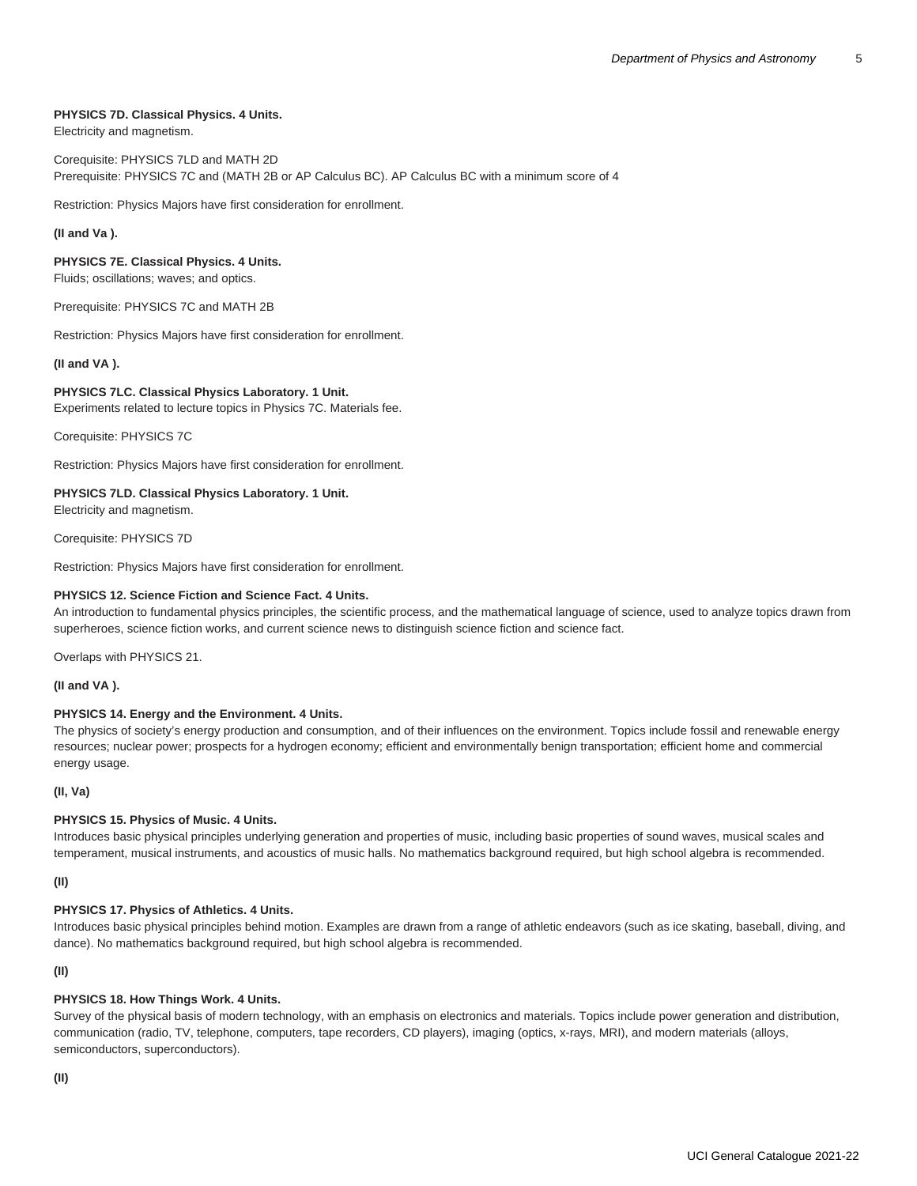# **PHYSICS 7D. Classical Physics. 4 Units.**

Electricity and magnetism.

# Corequisite: [PHYSICS 7LD](/search/?P=PHYSICS%207LD) and [MATH 2D](/search/?P=MATH%202D) Prerequisite: [PHYSICS 7C](/search/?P=PHYSICS%207C) and [\(MATH 2B](/search/?P=MATH%202B) or AP Calculus BC). AP Calculus BC with a minimum score of 4

Restriction: Physics Majors have first consideration for enrollment.

# **(II and Va ).**

# **PHYSICS 7E. Classical Physics. 4 Units.**

Fluids; oscillations; waves; and optics.

Prerequisite: [PHYSICS 7C](/search/?P=PHYSICS%207C) and [MATH 2B](/search/?P=MATH%202B)

Restriction: Physics Majors have first consideration for enrollment.

**(II and VA ).**

# **PHYSICS 7LC. Classical Physics Laboratory. 1 Unit.**

Experiments related to lecture topics in Physics 7C. Materials fee.

Corequisite: [PHYSICS 7C](/search/?P=PHYSICS%207C)

Restriction: Physics Majors have first consideration for enrollment.

# **PHYSICS 7LD. Classical Physics Laboratory. 1 Unit.**

Electricity and magnetism.

Corequisite: [PHYSICS 7D](/search/?P=PHYSICS%207D)

Restriction: Physics Majors have first consideration for enrollment.

# **PHYSICS 12. Science Fiction and Science Fact. 4 Units.**

An introduction to fundamental physics principles, the scientific process, and the mathematical language of science, used to analyze topics drawn from superheroes, science fiction works, and current science news to distinguish science fiction and science fact.

Overlaps with [PHYSICS 21.](/search/?P=PHYSICS%2021)

**(II and VA ).**

# **PHYSICS 14. Energy and the Environment. 4 Units.**

The physics of society's energy production and consumption, and of their influences on the environment. Topics include fossil and renewable energy resources; nuclear power; prospects for a hydrogen economy; efficient and environmentally benign transportation; efficient home and commercial energy usage.

# **(II, Va)**

# **PHYSICS 15. Physics of Music. 4 Units.**

Introduces basic physical principles underlying generation and properties of music, including basic properties of sound waves, musical scales and temperament, musical instruments, and acoustics of music halls. No mathematics background required, but high school algebra is recommended.

**(II)**

#### **PHYSICS 17. Physics of Athletics. 4 Units.**

Introduces basic physical principles behind motion. Examples are drawn from a range of athletic endeavors (such as ice skating, baseball, diving, and dance). No mathematics background required, but high school algebra is recommended.

# **(II)**

# **PHYSICS 18. How Things Work. 4 Units.**

Survey of the physical basis of modern technology, with an emphasis on electronics and materials. Topics include power generation and distribution, communication (radio, TV, telephone, computers, tape recorders, CD players), imaging (optics, x-rays, MRI), and modern materials (alloys, semiconductors, superconductors).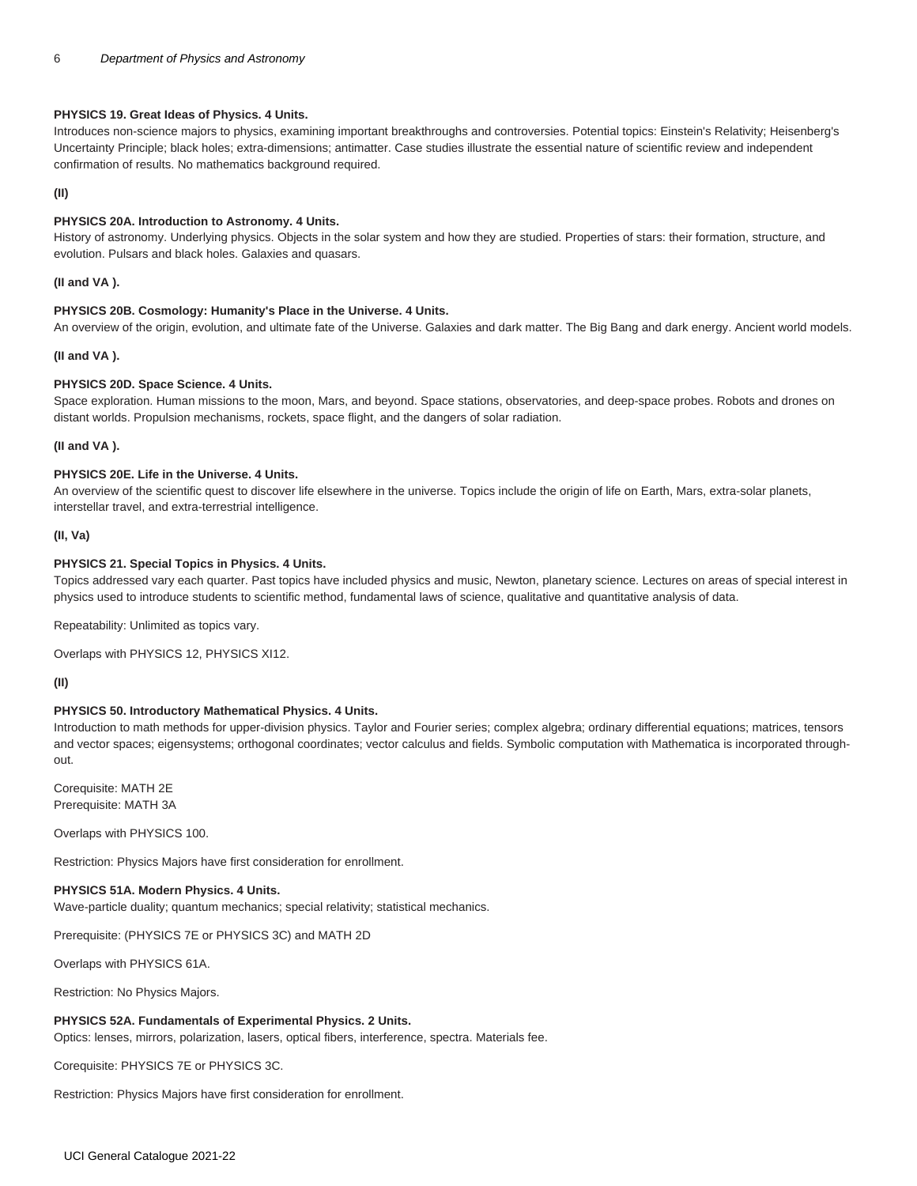## **PHYSICS 19. Great Ideas of Physics. 4 Units.**

Introduces non-science majors to physics, examining important breakthroughs and controversies. Potential topics: Einstein's Relativity; Heisenberg's Uncertainty Principle; black holes; extra-dimensions; antimatter. Case studies illustrate the essential nature of scientific review and independent confirmation of results. No mathematics background required.

## **(II)**

# **PHYSICS 20A. Introduction to Astronomy. 4 Units.**

History of astronomy. Underlying physics. Objects in the solar system and how they are studied. Properties of stars: their formation, structure, and evolution. Pulsars and black holes. Galaxies and quasars.

## **(II and VA ).**

#### **PHYSICS 20B. Cosmology: Humanity's Place in the Universe. 4 Units.**

An overview of the origin, evolution, and ultimate fate of the Universe. Galaxies and dark matter. The Big Bang and dark energy. Ancient world models.

## **(II and VA ).**

# **PHYSICS 20D. Space Science. 4 Units.**

Space exploration. Human missions to the moon, Mars, and beyond. Space stations, observatories, and deep-space probes. Robots and drones on distant worlds. Propulsion mechanisms, rockets, space flight, and the dangers of solar radiation.

**(II and VA ).**

# **PHYSICS 20E. Life in the Universe. 4 Units.**

An overview of the scientific quest to discover life elsewhere in the universe. Topics include the origin of life on Earth, Mars, extra-solar planets, interstellar travel, and extra-terrestrial intelligence.

## **(II, Va)**

## **PHYSICS 21. Special Topics in Physics. 4 Units.**

Topics addressed vary each quarter. Past topics have included physics and music, Newton, planetary science. Lectures on areas of special interest in physics used to introduce students to scientific method, fundamental laws of science, qualitative and quantitative analysis of data.

Repeatability: Unlimited as topics vary.

Overlaps with [PHYSICS 12,](/search/?P=PHYSICS%2012) PHYSICS XI12.

# **(II)**

# **PHYSICS 50. Introductory Mathematical Physics. 4 Units.**

Introduction to math methods for upper-division physics. Taylor and Fourier series; complex algebra; ordinary differential equations; matrices, tensors and vector spaces; eigensystems; orthogonal coordinates; vector calculus and fields. Symbolic computation with Mathematica is incorporated throughout.

Corequisite: [MATH 2E](/search/?P=MATH%202E) Prerequisite: [MATH 3A](/search/?P=MATH%203A)

Overlaps with [PHYSICS 100](/search/?P=PHYSICS%20100).

Restriction: Physics Majors have first consideration for enrollment.

#### **PHYSICS 51A. Modern Physics. 4 Units.**

Wave-particle duality; quantum mechanics; special relativity; statistical mechanics.

Prerequisite: ([PHYSICS 7E](/search/?P=PHYSICS%207E) or [PHYSICS 3C](/search/?P=PHYSICS%203C)) and [MATH 2D](/search/?P=MATH%202D)

Overlaps with [PHYSICS 61A](/search/?P=PHYSICS%2061A).

Restriction: No Physics Majors.

# **PHYSICS 52A. Fundamentals of Experimental Physics. 2 Units.**

Optics: lenses, mirrors, polarization, lasers, optical fibers, interference, spectra. Materials fee.

Corequisite: [PHYSICS 7E](/search/?P=PHYSICS%207E) or [PHYSICS 3C](/search/?P=PHYSICS%203C).

Restriction: Physics Majors have first consideration for enrollment.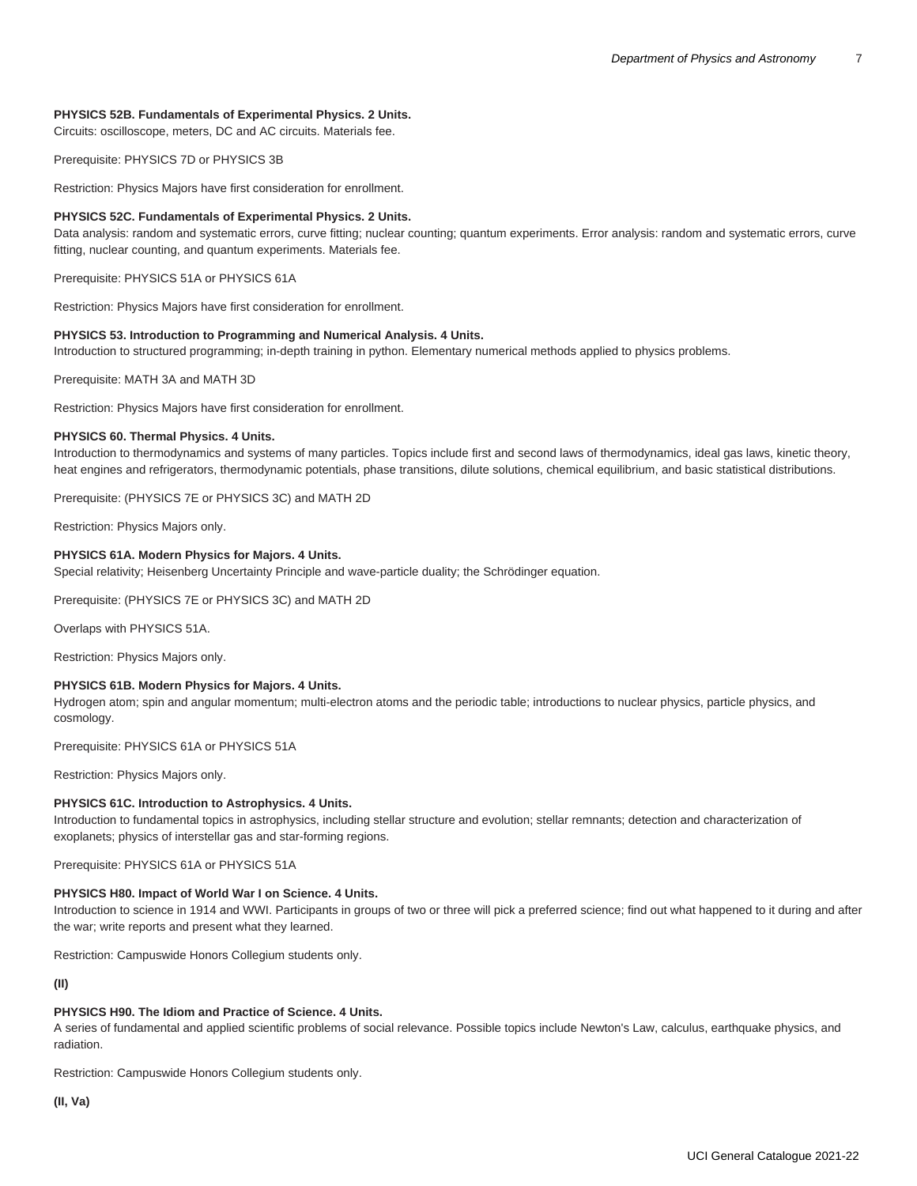# **PHYSICS 52B. Fundamentals of Experimental Physics. 2 Units.**

Circuits: oscilloscope, meters, DC and AC circuits. Materials fee.

Prerequisite: [PHYSICS 7D](/search/?P=PHYSICS%207D) or [PHYSICS 3B](/search/?P=PHYSICS%203B)

Restriction: Physics Majors have first consideration for enrollment.

# **PHYSICS 52C. Fundamentals of Experimental Physics. 2 Units.**

Data analysis: random and systematic errors, curve fitting; nuclear counting; quantum experiments. Error analysis: random and systematic errors, curve fitting, nuclear counting, and quantum experiments. Materials fee.

Prerequisite: [PHYSICS 51A](/search/?P=PHYSICS%2051A) or [PHYSICS 61A](/search/?P=PHYSICS%2061A)

Restriction: Physics Majors have first consideration for enrollment.

## **PHYSICS 53. Introduction to Programming and Numerical Analysis. 4 Units.**

Introduction to structured programming; in-depth training in python. Elementary numerical methods applied to physics problems.

Prerequisite: [MATH 3A](/search/?P=MATH%203A) and [MATH 3D](/search/?P=MATH%203D)

Restriction: Physics Majors have first consideration for enrollment.

## **PHYSICS 60. Thermal Physics. 4 Units.**

Introduction to thermodynamics and systems of many particles. Topics include first and second laws of thermodynamics, ideal gas laws, kinetic theory, heat engines and refrigerators, thermodynamic potentials, phase transitions, dilute solutions, chemical equilibrium, and basic statistical distributions.

Prerequisite: ([PHYSICS 7E](/search/?P=PHYSICS%207E) or [PHYSICS 3C](/search/?P=PHYSICS%203C)) and [MATH 2D](/search/?P=MATH%202D)

Restriction: Physics Majors only.

# **PHYSICS 61A. Modern Physics for Majors. 4 Units.**

Special relativity; Heisenberg Uncertainty Principle and wave-particle duality; the Schrödinger equation.

Prerequisite: ([PHYSICS 7E](/search/?P=PHYSICS%207E) or [PHYSICS 3C](/search/?P=PHYSICS%203C)) and [MATH 2D](/search/?P=MATH%202D)

Overlaps with [PHYSICS 51A](/search/?P=PHYSICS%2051A).

Restriction: Physics Majors only.

# **PHYSICS 61B. Modern Physics for Majors. 4 Units.**

Hydrogen atom; spin and angular momentum; multi-electron atoms and the periodic table; introductions to nuclear physics, particle physics, and cosmology.

Prerequisite: [PHYSICS 61A](/search/?P=PHYSICS%2061A) or [PHYSICS 51A](/search/?P=PHYSICS%2051A)

Restriction: Physics Majors only.

#### **PHYSICS 61C. Introduction to Astrophysics. 4 Units.**

Introduction to fundamental topics in astrophysics, including stellar structure and evolution; stellar remnants; detection and characterization of exoplanets; physics of interstellar gas and star-forming regions.

Prerequisite: [PHYSICS 61A](/search/?P=PHYSICS%2061A) or [PHYSICS 51A](/search/?P=PHYSICS%2051A)

#### **PHYSICS H80. Impact of World War I on Science. 4 Units.**

Introduction to science in 1914 and WWI. Participants in groups of two or three will pick a preferred science; find out what happened to it during and after the war; write reports and present what they learned.

Restriction: Campuswide Honors Collegium students only.

**(II)**

# **PHYSICS H90. The Idiom and Practice of Science. 4 Units.**

A series of fundamental and applied scientific problems of social relevance. Possible topics include Newton's Law, calculus, earthquake physics, and radiation.

Restriction: Campuswide Honors Collegium students only.

**(II, Va)**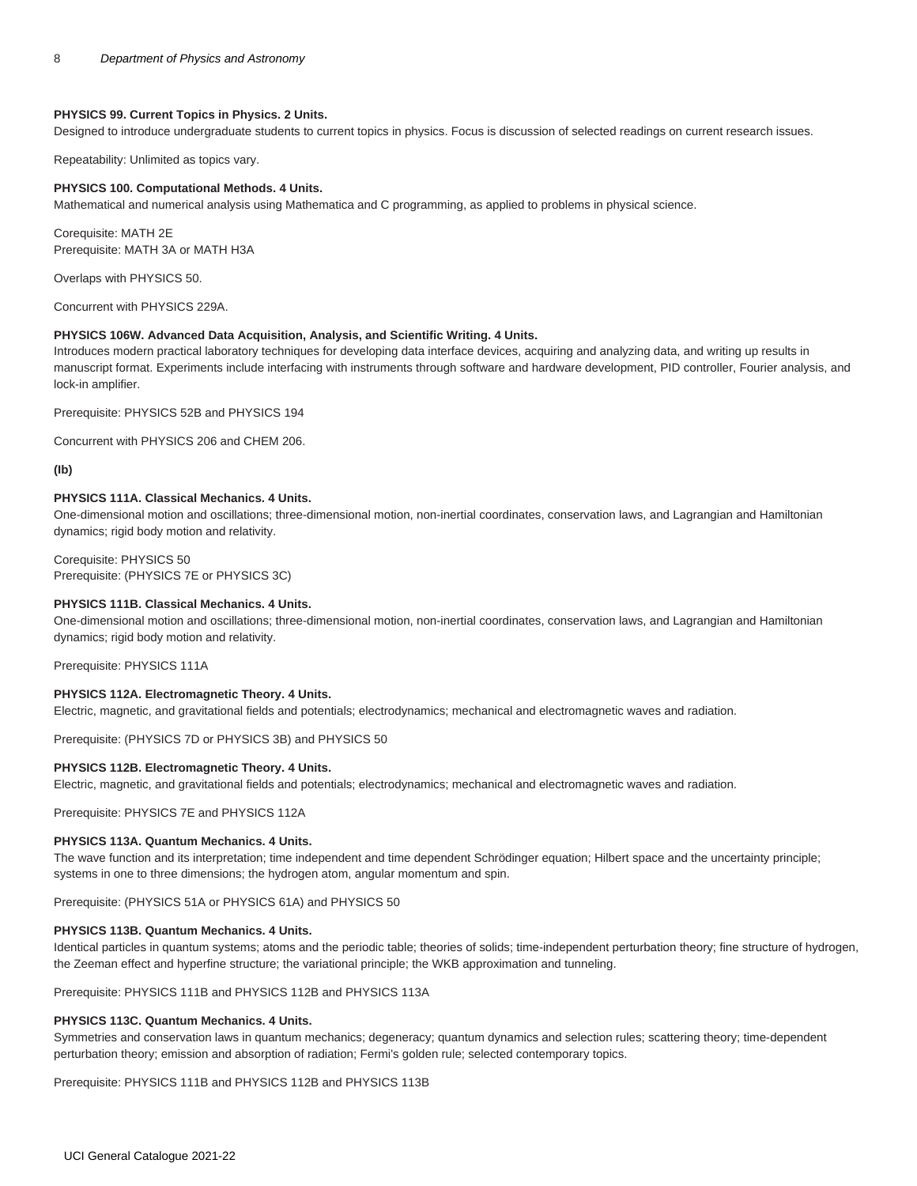# **PHYSICS 99. Current Topics in Physics. 2 Units.**

Designed to introduce undergraduate students to current topics in physics. Focus is discussion of selected readings on current research issues.

Repeatability: Unlimited as topics vary.

#### **PHYSICS 100. Computational Methods. 4 Units.**

Mathematical and numerical analysis using Mathematica and C programming, as applied to problems in physical science.

Corequisite: [MATH 2E](/search/?P=MATH%202E) Prerequisite: [MATH 3A](/search/?P=MATH%203A) or [MATH H3A](/search/?P=MATH%20H3A)

Overlaps with [PHYSICS 50.](/search/?P=PHYSICS%2050)

Concurrent with [PHYSICS 229A](/search/?P=PHYSICS%20229A).

#### **PHYSICS 106W. Advanced Data Acquisition, Analysis, and Scientific Writing. 4 Units.**

Introduces modern practical laboratory techniques for developing data interface devices, acquiring and analyzing data, and writing up results in manuscript format. Experiments include interfacing with instruments through software and hardware development, PID controller, Fourier analysis, and lock-in amplifier.

Prerequisite: [PHYSICS 52B](/search/?P=PHYSICS%2052B) and [PHYSICS 194](/search/?P=PHYSICS%20194)

Concurrent with [PHYSICS 206](/search/?P=PHYSICS%20206) and [CHEM 206.](/search/?P=CHEM%20206)

**(Ib)**

#### **PHYSICS 111A. Classical Mechanics. 4 Units.**

One-dimensional motion and oscillations; three-dimensional motion, non-inertial coordinates, conservation laws, and Lagrangian and Hamiltonian dynamics; rigid body motion and relativity.

Corequisite: [PHYSICS 50](/search/?P=PHYSICS%2050) Prerequisite: ([PHYSICS 7E](/search/?P=PHYSICS%207E) or [PHYSICS 3C](/search/?P=PHYSICS%203C))

#### **PHYSICS 111B. Classical Mechanics. 4 Units.**

One-dimensional motion and oscillations; three-dimensional motion, non-inertial coordinates, conservation laws, and Lagrangian and Hamiltonian dynamics; rigid body motion and relativity.

Prerequisite: [PHYSICS 111A](/search/?P=PHYSICS%20111A)

# **PHYSICS 112A. Electromagnetic Theory. 4 Units.**

Electric, magnetic, and gravitational fields and potentials; electrodynamics; mechanical and electromagnetic waves and radiation.

Prerequisite: ([PHYSICS 7D](/search/?P=PHYSICS%207D) or [PHYSICS 3B](/search/?P=PHYSICS%203B)) and [PHYSICS 50](/search/?P=PHYSICS%2050)

## **PHYSICS 112B. Electromagnetic Theory. 4 Units.**

Electric, magnetic, and gravitational fields and potentials; electrodynamics; mechanical and electromagnetic waves and radiation.

Prerequisite: [PHYSICS 7E](/search/?P=PHYSICS%207E) and [PHYSICS 112A](/search/?P=PHYSICS%20112A)

#### **PHYSICS 113A. Quantum Mechanics. 4 Units.**

The wave function and its interpretation; time independent and time dependent Schrödinger equation; Hilbert space and the uncertainty principle; systems in one to three dimensions; the hydrogen atom, angular momentum and spin.

Prerequisite: ([PHYSICS 51A](/search/?P=PHYSICS%2051A) or [PHYSICS 61A\)](/search/?P=PHYSICS%2061A) and [PHYSICS 50](/search/?P=PHYSICS%2050)

#### **PHYSICS 113B. Quantum Mechanics. 4 Units.**

Identical particles in quantum systems; atoms and the periodic table; theories of solids; time-independent perturbation theory; fine structure of hydrogen, the Zeeman effect and hyperfine structure; the variational principle; the WKB approximation and tunneling.

Prerequisite: [PHYSICS 111B](/search/?P=PHYSICS%20111B) and [PHYSICS 112B](/search/?P=PHYSICS%20112B) and [PHYSICS 113A](/search/?P=PHYSICS%20113A)

# **PHYSICS 113C. Quantum Mechanics. 4 Units.**

Symmetries and conservation laws in quantum mechanics; degeneracy; quantum dynamics and selection rules; scattering theory; time-dependent perturbation theory; emission and absorption of radiation; Fermi's golden rule; selected contemporary topics.

Prerequisite: [PHYSICS 111B](/search/?P=PHYSICS%20111B) and [PHYSICS 112B](/search/?P=PHYSICS%20112B) and [PHYSICS 113B](/search/?P=PHYSICS%20113B)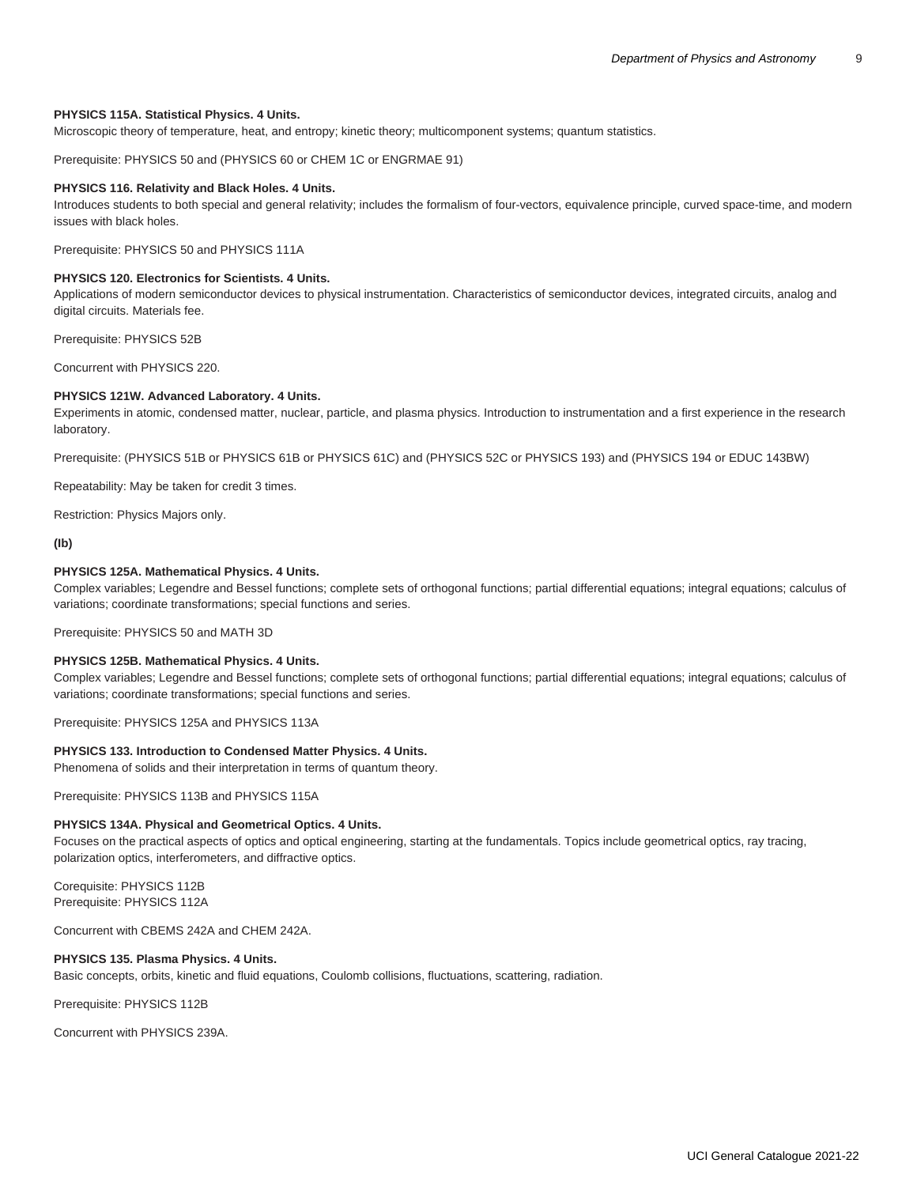# **PHYSICS 115A. Statistical Physics. 4 Units.**

Microscopic theory of temperature, heat, and entropy; kinetic theory; multicomponent systems; quantum statistics.

Prerequisite: [PHYSICS 50](/search/?P=PHYSICS%2050) and ([PHYSICS 60](/search/?P=PHYSICS%2060) or [CHEM 1C](/search/?P=CHEM%201C) or [ENGRMAE 91\)](/search/?P=ENGRMAE%2091)

#### **PHYSICS 116. Relativity and Black Holes. 4 Units.**

Introduces students to both special and general relativity; includes the formalism of four-vectors, equivalence principle, curved space-time, and modern issues with black holes.

Prerequisite: [PHYSICS 50](/search/?P=PHYSICS%2050) and [PHYSICS 111A](/search/?P=PHYSICS%20111A)

#### **PHYSICS 120. Electronics for Scientists. 4 Units.**

Applications of modern semiconductor devices to physical instrumentation. Characteristics of semiconductor devices, integrated circuits, analog and digital circuits. Materials fee.

Prerequisite: [PHYSICS 52B](/search/?P=PHYSICS%2052B)

Concurrent with [PHYSICS 220.](/search/?P=PHYSICS%20220)

# **PHYSICS 121W. Advanced Laboratory. 4 Units.**

Experiments in atomic, condensed matter, nuclear, particle, and plasma physics. Introduction to instrumentation and a first experience in the research laboratory.

Prerequisite: (PHYSICS 51B or [PHYSICS 61B](/search/?P=PHYSICS%2061B) or [PHYSICS 61C](/search/?P=PHYSICS%2061C)) and [\(PHYSICS 52C](/search/?P=PHYSICS%2052C) or [PHYSICS 193](/search/?P=PHYSICS%20193)) and ([PHYSICS 194](/search/?P=PHYSICS%20194) or [EDUC 143BW\)](/search/?P=EDUC%20143BW)

Repeatability: May be taken for credit 3 times.

Restriction: Physics Majors only.

# **(Ib)**

# **PHYSICS 125A. Mathematical Physics. 4 Units.**

Complex variables; Legendre and Bessel functions; complete sets of orthogonal functions; partial differential equations; integral equations; calculus of variations; coordinate transformations; special functions and series.

Prerequisite: [PHYSICS 50](/search/?P=PHYSICS%2050) and [MATH 3D](/search/?P=MATH%203D)

#### **PHYSICS 125B. Mathematical Physics. 4 Units.**

Complex variables; Legendre and Bessel functions; complete sets of orthogonal functions; partial differential equations; integral equations; calculus of variations; coordinate transformations; special functions and series.

Prerequisite: [PHYSICS 125A](/search/?P=PHYSICS%20125A) and [PHYSICS 113A](/search/?P=PHYSICS%20113A)

# **PHYSICS 133. Introduction to Condensed Matter Physics. 4 Units.**

Phenomena of solids and their interpretation in terms of quantum theory.

Prerequisite: [PHYSICS 113B](/search/?P=PHYSICS%20113B) and [PHYSICS 115A](/search/?P=PHYSICS%20115A)

#### **PHYSICS 134A. Physical and Geometrical Optics. 4 Units.**

Focuses on the practical aspects of optics and optical engineering, starting at the fundamentals. Topics include geometrical optics, ray tracing, polarization optics, interferometers, and diffractive optics.

Corequisite: [PHYSICS 112B](/search/?P=PHYSICS%20112B) Prerequisite: [PHYSICS 112A](/search/?P=PHYSICS%20112A)

Concurrent with CBEMS 242A and CHEM 242A.

#### **PHYSICS 135. Plasma Physics. 4 Units.**

Basic concepts, orbits, kinetic and fluid equations, Coulomb collisions, fluctuations, scattering, radiation.

Prerequisite: [PHYSICS 112B](/search/?P=PHYSICS%20112B)

Concurrent with [PHYSICS 239A](/search/?P=PHYSICS%20239A).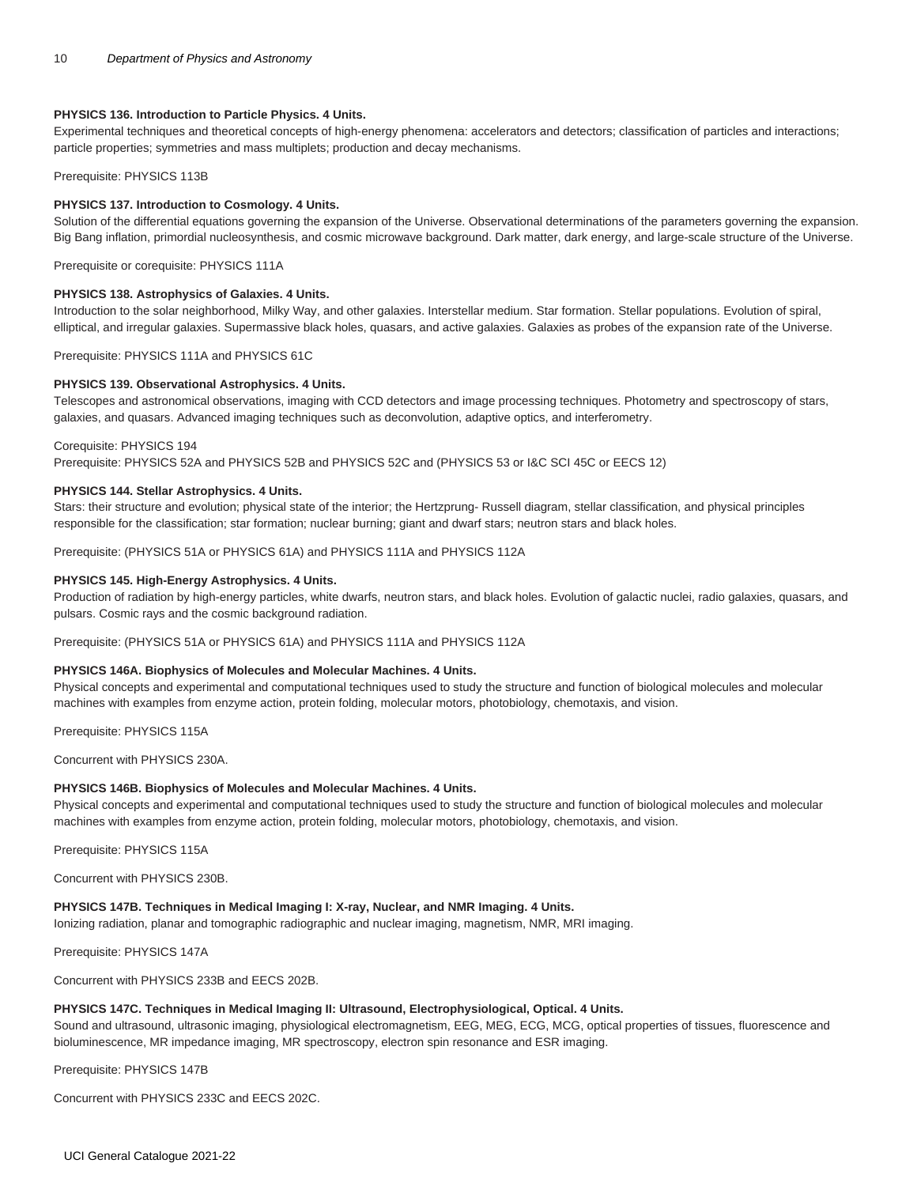# **PHYSICS 136. Introduction to Particle Physics. 4 Units.**

Experimental techniques and theoretical concepts of high-energy phenomena: accelerators and detectors; classification of particles and interactions; particle properties; symmetries and mass multiplets; production and decay mechanisms.

#### Prerequisite: [PHYSICS 113B](/search/?P=PHYSICS%20113B)

#### **PHYSICS 137. Introduction to Cosmology. 4 Units.**

Solution of the differential equations governing the expansion of the Universe. Observational determinations of the parameters governing the expansion. Big Bang inflation, primordial nucleosynthesis, and cosmic microwave background. Dark matter, dark energy, and large-scale structure of the Universe.

Prerequisite or corequisite: [PHYSICS 111A](/search/?P=PHYSICS%20111A)

# **PHYSICS 138. Astrophysics of Galaxies. 4 Units.**

Introduction to the solar neighborhood, Milky Way, and other galaxies. Interstellar medium. Star formation. Stellar populations. Evolution of spiral, elliptical, and irregular galaxies. Supermassive black holes, quasars, and active galaxies. Galaxies as probes of the expansion rate of the Universe.

Prerequisite: [PHYSICS 111A](/search/?P=PHYSICS%20111A) and [PHYSICS 61C](/search/?P=PHYSICS%2061C)

#### **PHYSICS 139. Observational Astrophysics. 4 Units.**

Telescopes and astronomical observations, imaging with CCD detectors and image processing techniques. Photometry and spectroscopy of stars, galaxies, and quasars. Advanced imaging techniques such as deconvolution, adaptive optics, and interferometry.

#### Corequisite: [PHYSICS 194](/search/?P=PHYSICS%20194)

Prerequisite: [PHYSICS 52A](/search/?P=PHYSICS%2052A) and [PHYSICS 52B](/search/?P=PHYSICS%2052B) and [PHYSICS 52C](/search/?P=PHYSICS%2052C) and [\(PHYSICS 53](/search/?P=PHYSICS%2053) or [I&C SCI 45C](/search/?P=I%26C%20SCI%2045C) or [EECS 12](/search/?P=EECS%2012))

# **PHYSICS 144. Stellar Astrophysics. 4 Units.**

Stars: their structure and evolution; physical state of the interior; the Hertzprung- Russell diagram, stellar classification, and physical principles responsible for the classification; star formation; nuclear burning; giant and dwarf stars; neutron stars and black holes.

Prerequisite: ([PHYSICS 51A](/search/?P=PHYSICS%2051A) or [PHYSICS 61A\)](/search/?P=PHYSICS%2061A) and [PHYSICS 111A](/search/?P=PHYSICS%20111A) and [PHYSICS 112A](/search/?P=PHYSICS%20112A)

#### **PHYSICS 145. High-Energy Astrophysics. 4 Units.**

Production of radiation by high-energy particles, white dwarfs, neutron stars, and black holes. Evolution of galactic nuclei, radio galaxies, quasars, and pulsars. Cosmic rays and the cosmic background radiation.

Prerequisite: ([PHYSICS 51A](/search/?P=PHYSICS%2051A) or [PHYSICS 61A\)](/search/?P=PHYSICS%2061A) and [PHYSICS 111A](/search/?P=PHYSICS%20111A) and [PHYSICS 112A](/search/?P=PHYSICS%20112A)

#### **PHYSICS 146A. Biophysics of Molecules and Molecular Machines. 4 Units.**

Physical concepts and experimental and computational techniques used to study the structure and function of biological molecules and molecular machines with examples from enzyme action, protein folding, molecular motors, photobiology, chemotaxis, and vision.

Prerequisite: [PHYSICS 115A](/search/?P=PHYSICS%20115A)

Concurrent with [PHYSICS 230A](/search/?P=PHYSICS%20230A).

# **PHYSICS 146B. Biophysics of Molecules and Molecular Machines. 4 Units.**

Physical concepts and experimental and computational techniques used to study the structure and function of biological molecules and molecular machines with examples from enzyme action, protein folding, molecular motors, photobiology, chemotaxis, and vision.

Prerequisite: [PHYSICS 115A](/search/?P=PHYSICS%20115A)

Concurrent with [PHYSICS 230B](/search/?P=PHYSICS%20230B).

#### **PHYSICS 147B. Techniques in Medical Imaging I: X-ray, Nuclear, and NMR Imaging. 4 Units.**

Ionizing radiation, planar and tomographic radiographic and nuclear imaging, magnetism, NMR, MRI imaging.

Prerequisite: PHYSICS 147A

Concurrent with PHYSICS 233B and EECS 202B.

# **PHYSICS 147C. Techniques in Medical Imaging II: Ultrasound, Electrophysiological, Optical. 4 Units.**

Sound and ultrasound, ultrasonic imaging, physiological electromagnetism, EEG, MEG, ECG, MCG, optical properties of tissues, fluorescence and bioluminescence, MR impedance imaging, MR spectroscopy, electron spin resonance and ESR imaging.

Prerequisite: [PHYSICS 147B](/search/?P=PHYSICS%20147B)

Concurrent with PHYSICS 233C and EECS 202C.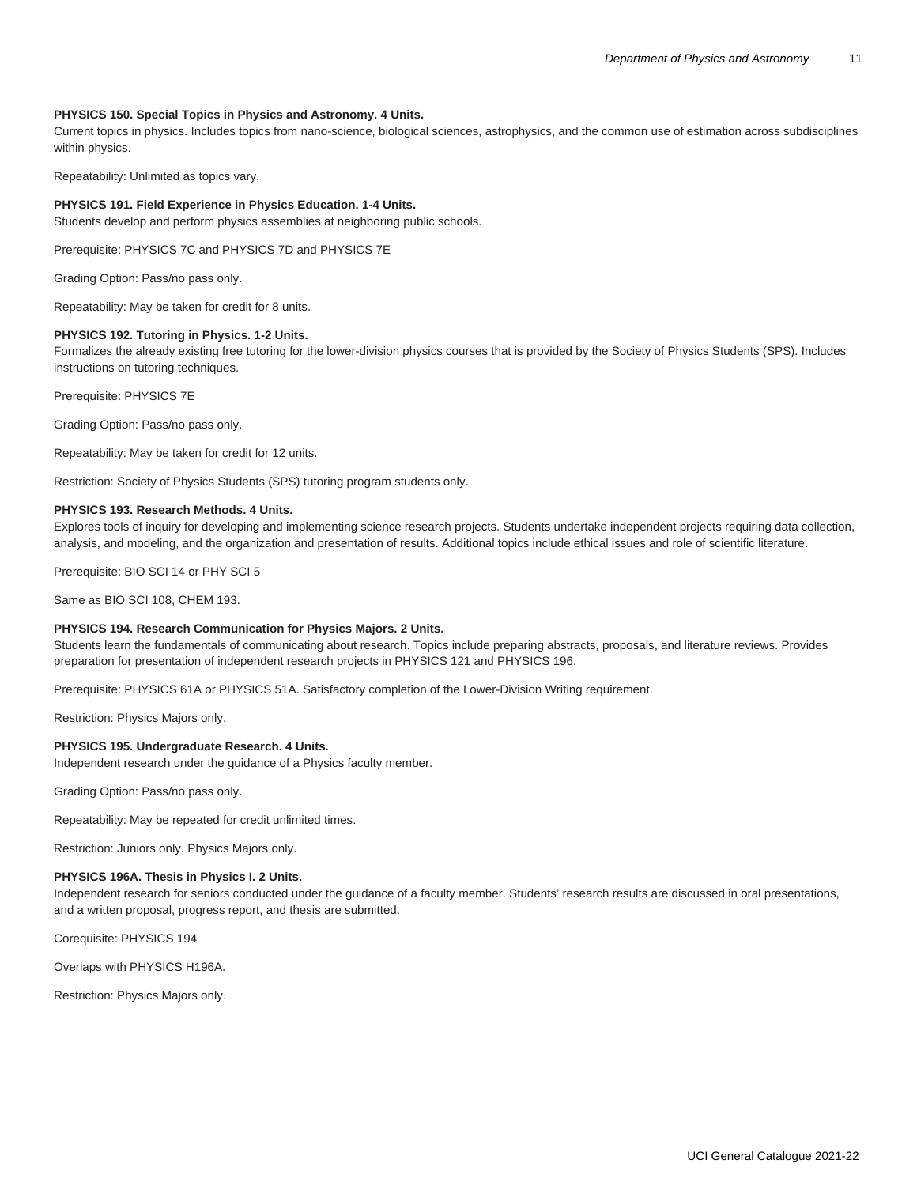# **PHYSICS 150. Special Topics in Physics and Astronomy. 4 Units.**

Current topics in physics. Includes topics from nano-science, biological sciences, astrophysics, and the common use of estimation across subdisciplines within physics.

Repeatability: Unlimited as topics vary.

#### **PHYSICS 191. Field Experience in Physics Education. 1-4 Units.**

Students develop and perform physics assemblies at neighboring public schools.

Prerequisite: [PHYSICS 7C](/search/?P=PHYSICS%207C) and [PHYSICS 7D](/search/?P=PHYSICS%207D) and [PHYSICS 7E](/search/?P=PHYSICS%207E)

Grading Option: Pass/no pass only.

Repeatability: May be taken for credit for 8 units.

#### **PHYSICS 192. Tutoring in Physics. 1-2 Units.**

Formalizes the already existing free tutoring for the lower-division physics courses that is provided by the Society of Physics Students (SPS). Includes instructions on tutoring techniques.

Prerequisite: [PHYSICS 7E](/search/?P=PHYSICS%207E)

Grading Option: Pass/no pass only.

Repeatability: May be taken for credit for 12 units.

Restriction: Society of Physics Students (SPS) tutoring program students only.

#### **PHYSICS 193. Research Methods. 4 Units.**

Explores tools of inquiry for developing and implementing science research projects. Students undertake independent projects requiring data collection, analysis, and modeling, and the organization and presentation of results. Additional topics include ethical issues and role of scientific literature.

Prerequisite: [BIO SCI 14](/search/?P=BIO%20SCI%2014) or [PHY SCI 5](/search/?P=PHY%20SCI%205)

Same as [BIO SCI 108,](/search/?P=BIO%20SCI%20108) [CHEM 193](/search/?P=CHEM%20193).

#### **PHYSICS 194. Research Communication for Physics Majors. 2 Units.**

Students learn the fundamentals of communicating about research. Topics include preparing abstracts, proposals, and literature reviews. Provides preparation for presentation of independent research projects in PHYSICS 121 and PHYSICS 196.

Prerequisite: [PHYSICS 61A](/search/?P=PHYSICS%2061A) or [PHYSICS 51A.](/search/?P=PHYSICS%2051A) Satisfactory completion of the Lower-Division Writing requirement.

Restriction: Physics Majors only.

#### **PHYSICS 195. Undergraduate Research. 4 Units.**

Independent research under the guidance of a Physics faculty member.

Grading Option: Pass/no pass only.

Repeatability: May be repeated for credit unlimited times.

Restriction: Juniors only. Physics Majors only.

#### **PHYSICS 196A. Thesis in Physics I. 2 Units.**

Independent research for seniors conducted under the guidance of a faculty member. Students' research results are discussed in oral presentations, and a written proposal, progress report, and thesis are submitted.

Corequisite: [PHYSICS 194](/search/?P=PHYSICS%20194)

Overlaps with [PHYSICS H196A](/search/?P=PHYSICS%20H196A).

Restriction: Physics Majors only.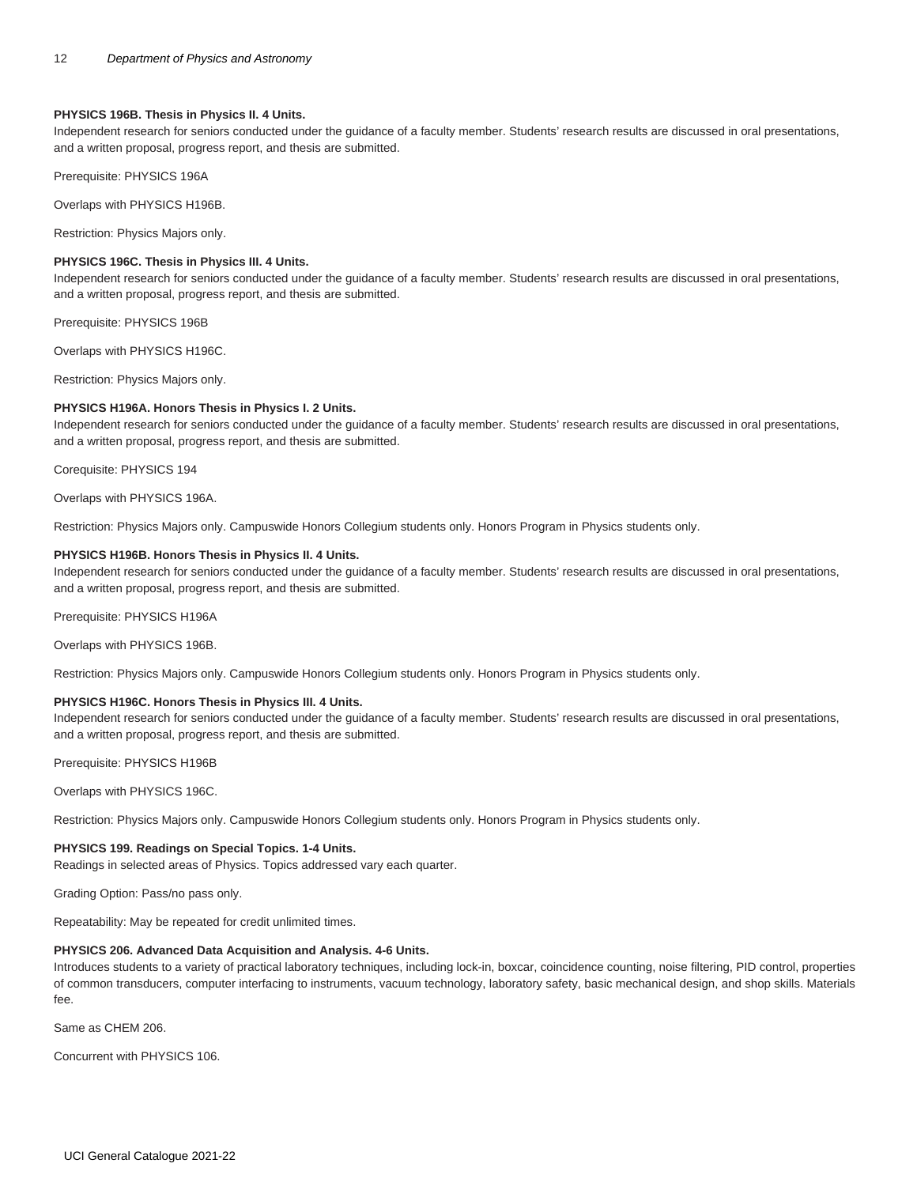#### **PHYSICS 196B. Thesis in Physics II. 4 Units.**

Independent research for seniors conducted under the guidance of a faculty member. Students' research results are discussed in oral presentations, and a written proposal, progress report, and thesis are submitted.

Prerequisite: [PHYSICS 196A](/search/?P=PHYSICS%20196A)

Overlaps with [PHYSICS H196B](/search/?P=PHYSICS%20H196B).

Restriction: Physics Majors only.

# **PHYSICS 196C. Thesis in Physics III. 4 Units.**

Independent research for seniors conducted under the guidance of a faculty member. Students' research results are discussed in oral presentations, and a written proposal, progress report, and thesis are submitted.

Prerequisite: [PHYSICS 196B](/search/?P=PHYSICS%20196B)

Overlaps with [PHYSICS H196C.](/search/?P=PHYSICS%20H196C)

Restriction: Physics Majors only.

# **PHYSICS H196A. Honors Thesis in Physics I. 2 Units.**

Independent research for seniors conducted under the guidance of a faculty member. Students' research results are discussed in oral presentations, and a written proposal, progress report, and thesis are submitted.

Corequisite: [PHYSICS 194](/search/?P=PHYSICS%20194)

Overlaps with [PHYSICS 196A.](/search/?P=PHYSICS%20196A)

Restriction: Physics Majors only. Campuswide Honors Collegium students only. Honors Program in Physics students only.

## **PHYSICS H196B. Honors Thesis in Physics II. 4 Units.**

Independent research for seniors conducted under the guidance of a faculty member. Students' research results are discussed in oral presentations, and a written proposal, progress report, and thesis are submitted.

Prerequisite: [PHYSICS H196A](/search/?P=PHYSICS%20H196A)

Overlaps with [PHYSICS 196B.](/search/?P=PHYSICS%20196B)

Restriction: Physics Majors only. Campuswide Honors Collegium students only. Honors Program in Physics students only.

# **PHYSICS H196C. Honors Thesis in Physics III. 4 Units.**

Independent research for seniors conducted under the guidance of a faculty member. Students' research results are discussed in oral presentations, and a written proposal, progress report, and thesis are submitted.

Prerequisite: [PHYSICS H196B](/search/?P=PHYSICS%20H196B)

Overlaps with [PHYSICS 196C](/search/?P=PHYSICS%20196C).

Restriction: Physics Majors only. Campuswide Honors Collegium students only. Honors Program in Physics students only.

# **PHYSICS 199. Readings on Special Topics. 1-4 Units.**

Readings in selected areas of Physics. Topics addressed vary each quarter.

Grading Option: Pass/no pass only.

Repeatability: May be repeated for credit unlimited times.

# **PHYSICS 206. Advanced Data Acquisition and Analysis. 4-6 Units.**

Introduces students to a variety of practical laboratory techniques, including lock-in, boxcar, coincidence counting, noise filtering, PID control, properties of common transducers, computer interfacing to instruments, vacuum technology, laboratory safety, basic mechanical design, and shop skills. Materials fee.

Same as [CHEM 206.](/search/?P=CHEM%20206)

Concurrent with PHYSICS 106.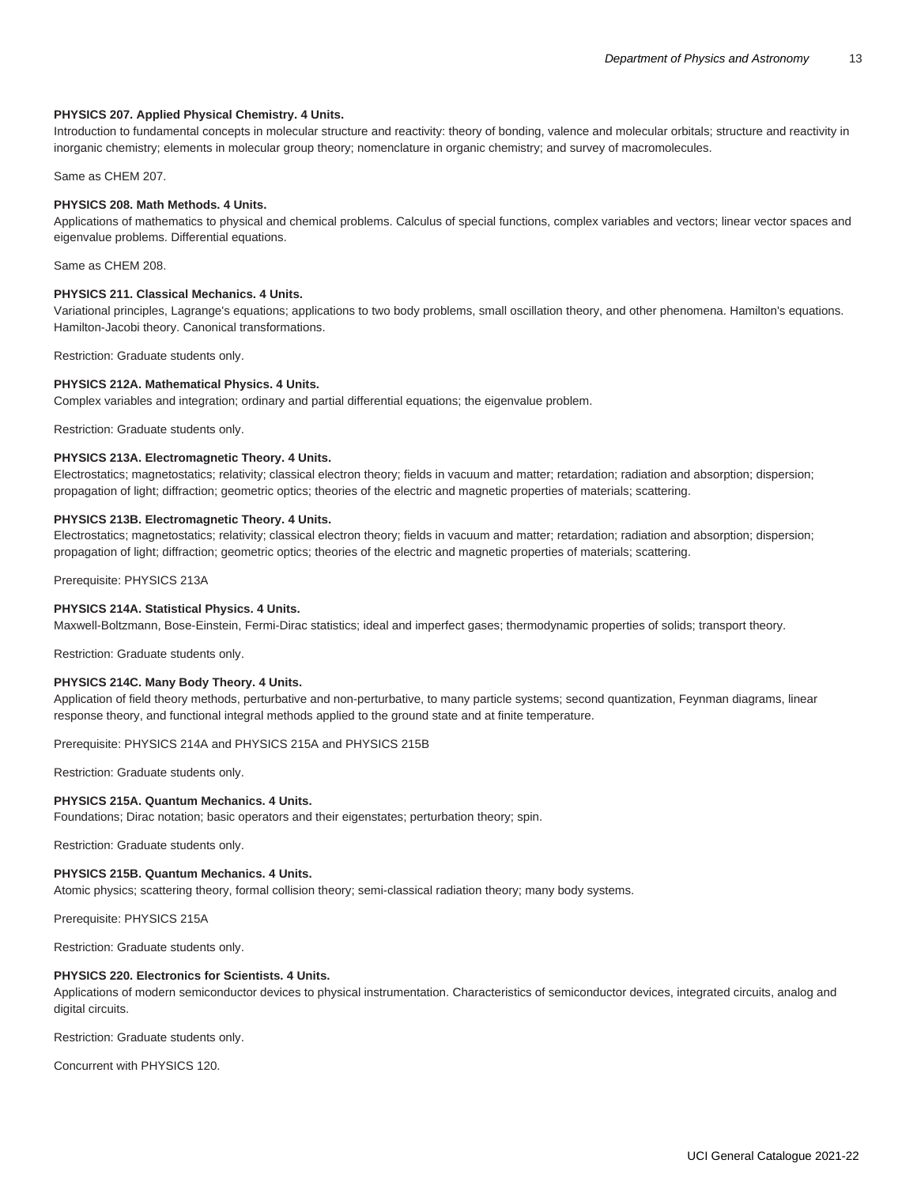#### **PHYSICS 207. Applied Physical Chemistry. 4 Units.**

Introduction to fundamental concepts in molecular structure and reactivity: theory of bonding, valence and molecular orbitals; structure and reactivity in inorganic chemistry; elements in molecular group theory; nomenclature in organic chemistry; and survey of macromolecules.

Same as [CHEM 207.](/search/?P=CHEM%20207)

# **PHYSICS 208. Math Methods. 4 Units.**

Applications of mathematics to physical and chemical problems. Calculus of special functions, complex variables and vectors; linear vector spaces and eigenvalue problems. Differential equations.

Same as [CHEM 208.](/search/?P=CHEM%20208)

# **PHYSICS 211. Classical Mechanics. 4 Units.**

Variational principles, Lagrange's equations; applications to two body problems, small oscillation theory, and other phenomena. Hamilton's equations. Hamilton-Jacobi theory. Canonical transformations.

Restriction: Graduate students only.

#### **PHYSICS 212A. Mathematical Physics. 4 Units.**

Complex variables and integration; ordinary and partial differential equations; the eigenvalue problem.

Restriction: Graduate students only.

# **PHYSICS 213A. Electromagnetic Theory. 4 Units.**

Electrostatics; magnetostatics; relativity; classical electron theory; fields in vacuum and matter; retardation; radiation and absorption; dispersion; propagation of light; diffraction; geometric optics; theories of the electric and magnetic properties of materials; scattering.

# **PHYSICS 213B. Electromagnetic Theory. 4 Units.**

Electrostatics; magnetostatics; relativity; classical electron theory; fields in vacuum and matter; retardation; radiation and absorption; dispersion; propagation of light; diffraction; geometric optics; theories of the electric and magnetic properties of materials; scattering.

Prerequisite: [PHYSICS 213A](/search/?P=PHYSICS%20213A)

# **PHYSICS 214A. Statistical Physics. 4 Units.**

Maxwell-Boltzmann, Bose-Einstein, Fermi-Dirac statistics; ideal and imperfect gases; thermodynamic properties of solids; transport theory.

Restriction: Graduate students only.

#### **PHYSICS 214C. Many Body Theory. 4 Units.**

Application of field theory methods, perturbative and non-perturbative, to many particle systems; second quantization, Feynman diagrams, linear response theory, and functional integral methods applied to the ground state and at finite temperature.

Prerequisite: [PHYSICS 214A](/search/?P=PHYSICS%20214A) and [PHYSICS 215A](/search/?P=PHYSICS%20215A) and [PHYSICS 215B](/search/?P=PHYSICS%20215B)

Restriction: Graduate students only.

#### **PHYSICS 215A. Quantum Mechanics. 4 Units.**

Foundations; Dirac notation; basic operators and their eigenstates; perturbation theory; spin.

Restriction: Graduate students only.

# **PHYSICS 215B. Quantum Mechanics. 4 Units.**

Atomic physics; scattering theory, formal collision theory; semi-classical radiation theory; many body systems.

Prerequisite: [PHYSICS 215A](/search/?P=PHYSICS%20215A)

Restriction: Graduate students only.

#### **PHYSICS 220. Electronics for Scientists. 4 Units.**

Applications of modern semiconductor devices to physical instrumentation. Characteristics of semiconductor devices, integrated circuits, analog and digital circuits.

Restriction: Graduate students only.

Concurrent with [PHYSICS 120.](/search/?P=PHYSICS%20120)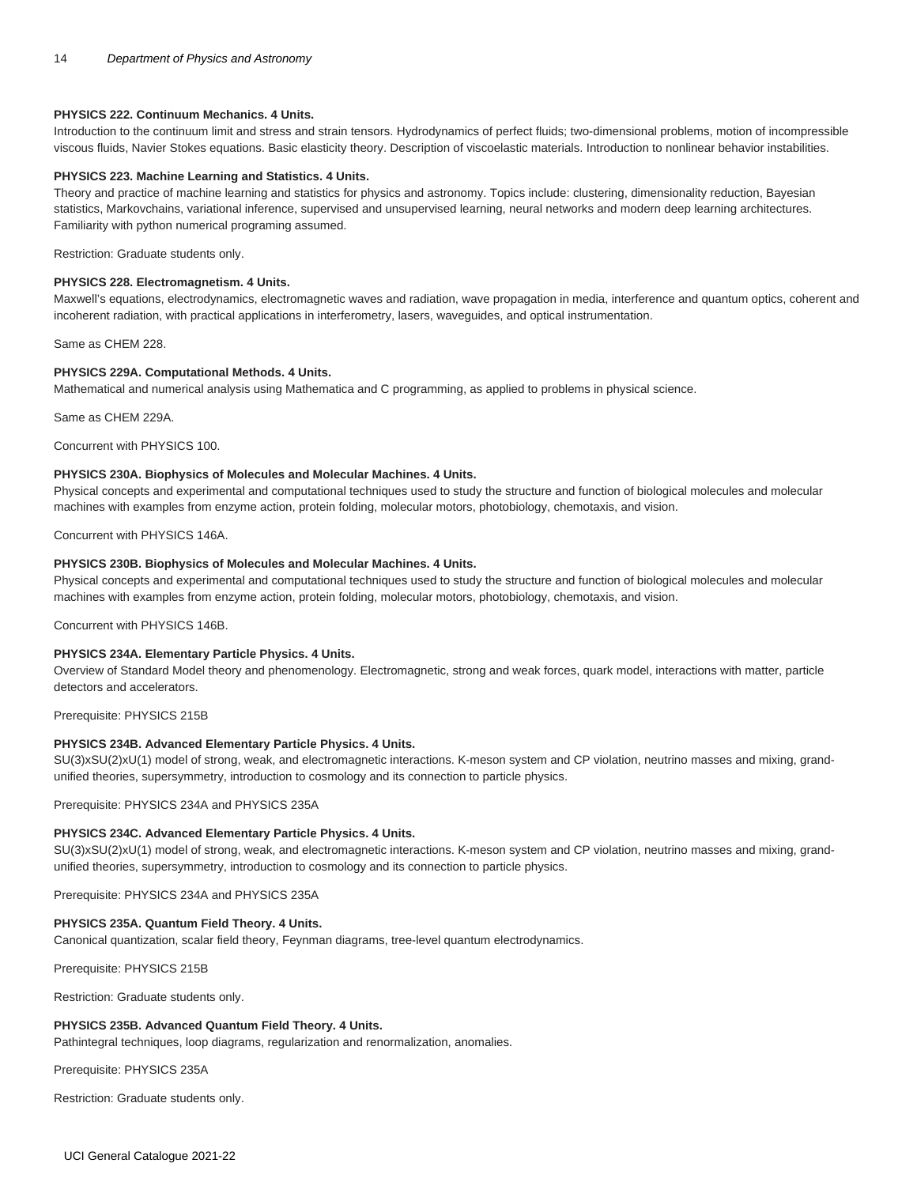# **PHYSICS 222. Continuum Mechanics. 4 Units.**

Introduction to the continuum limit and stress and strain tensors. Hydrodynamics of perfect fluids; two-dimensional problems, motion of incompressible viscous fluids, Navier Stokes equations. Basic elasticity theory. Description of viscoelastic materials. Introduction to nonlinear behavior instabilities.

#### **PHYSICS 223. Machine Learning and Statistics. 4 Units.**

Theory and practice of machine learning and statistics for physics and astronomy. Topics include: clustering, dimensionality reduction, Bayesian statistics, Markovchains, variational inference, supervised and unsupervised learning, neural networks and modern deep learning architectures. Familiarity with python numerical programing assumed.

Restriction: Graduate students only.

# **PHYSICS 228. Electromagnetism. 4 Units.**

Maxwell's equations, electrodynamics, electromagnetic waves and radiation, wave propagation in media, interference and quantum optics, coherent and incoherent radiation, with practical applications in interferometry, lasers, waveguides, and optical instrumentation.

Same as [CHEM 228.](/search/?P=CHEM%20228)

# **PHYSICS 229A. Computational Methods. 4 Units.**

Mathematical and numerical analysis using Mathematica and C programming, as applied to problems in physical science.

Same as [CHEM 229A](/search/?P=CHEM%20229A).

Concurrent with [PHYSICS 100.](/search/?P=PHYSICS%20100)

# **PHYSICS 230A. Biophysics of Molecules and Molecular Machines. 4 Units.**

Physical concepts and experimental and computational techniques used to study the structure and function of biological molecules and molecular machines with examples from enzyme action, protein folding, molecular motors, photobiology, chemotaxis, and vision.

Concurrent with [PHYSICS 146A](/search/?P=PHYSICS%20146A).

## **PHYSICS 230B. Biophysics of Molecules and Molecular Machines. 4 Units.**

Physical concepts and experimental and computational techniques used to study the structure and function of biological molecules and molecular machines with examples from enzyme action, protein folding, molecular motors, photobiology, chemotaxis, and vision.

Concurrent with [PHYSICS 146B](/search/?P=PHYSICS%20146B).

# **PHYSICS 234A. Elementary Particle Physics. 4 Units.**

Overview of Standard Model theory and phenomenology. Electromagnetic, strong and weak forces, quark model, interactions with matter, particle detectors and accelerators.

Prerequisite: [PHYSICS 215B](/search/?P=PHYSICS%20215B)

#### **PHYSICS 234B. Advanced Elementary Particle Physics. 4 Units.**

SU(3)xSU(2)xU(1) model of strong, weak, and electromagnetic interactions. K-meson system and CP violation, neutrino masses and mixing, grandunified theories, supersymmetry, introduction to cosmology and its connection to particle physics.

Prerequisite: [PHYSICS 234A](/search/?P=PHYSICS%20234A) and [PHYSICS 235A](/search/?P=PHYSICS%20235A)

#### **PHYSICS 234C. Advanced Elementary Particle Physics. 4 Units.**

SU(3)xSU(2)xU(1) model of strong, weak, and electromagnetic interactions. K-meson system and CP violation, neutrino masses and mixing, grandunified theories, supersymmetry, introduction to cosmology and its connection to particle physics.

Prerequisite: [PHYSICS 234A](/search/?P=PHYSICS%20234A) and [PHYSICS 235A](/search/?P=PHYSICS%20235A)

#### **PHYSICS 235A. Quantum Field Theory. 4 Units.**

Canonical quantization, scalar field theory, Feynman diagrams, tree-level quantum electrodynamics.

Prerequisite: [PHYSICS 215B](/search/?P=PHYSICS%20215B)

Restriction: Graduate students only.

# **PHYSICS 235B. Advanced Quantum Field Theory. 4 Units.**

Pathintegral techniques, loop diagrams, regularization and renormalization, anomalies.

Prerequisite: [PHYSICS 235A](/search/?P=PHYSICS%20235A)

Restriction: Graduate students only.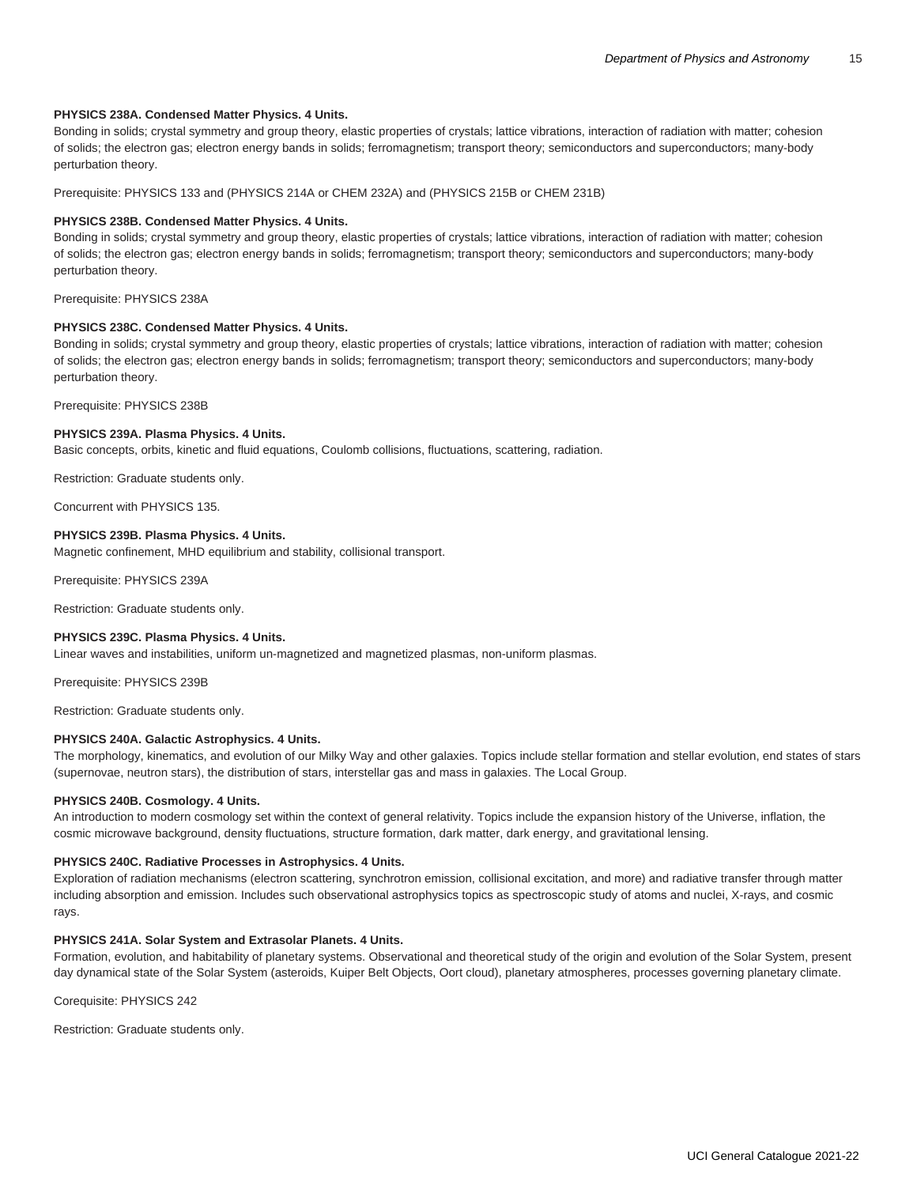## **PHYSICS 238A. Condensed Matter Physics. 4 Units.**

Bonding in solids; crystal symmetry and group theory, elastic properties of crystals; lattice vibrations, interaction of radiation with matter; cohesion of solids; the electron gas; electron energy bands in solids; ferromagnetism; transport theory; semiconductors and superconductors; many-body perturbation theory.

Prerequisite: [PHYSICS 133](/search/?P=PHYSICS%20133) and [\(PHYSICS 214A](/search/?P=PHYSICS%20214A) or [CHEM 232A](/search/?P=CHEM%20232A)) and [\(PHYSICS 215B](/search/?P=PHYSICS%20215B) or [CHEM 231B](/search/?P=CHEM%20231B))

#### **PHYSICS 238B. Condensed Matter Physics. 4 Units.**

Bonding in solids; crystal symmetry and group theory, elastic properties of crystals; lattice vibrations, interaction of radiation with matter; cohesion of solids; the electron gas; electron energy bands in solids; ferromagnetism; transport theory; semiconductors and superconductors; many-body perturbation theory.

Prerequisite: [PHYSICS 238A](/search/?P=PHYSICS%20238A)

#### **PHYSICS 238C. Condensed Matter Physics. 4 Units.**

Bonding in solids; crystal symmetry and group theory, elastic properties of crystals; lattice vibrations, interaction of radiation with matter; cohesion of solids; the electron gas; electron energy bands in solids; ferromagnetism; transport theory; semiconductors and superconductors; many-body perturbation theory.

Prerequisite: [PHYSICS 238B](/search/?P=PHYSICS%20238B)

# **PHYSICS 239A. Plasma Physics. 4 Units.**

Basic concepts, orbits, kinetic and fluid equations, Coulomb collisions, fluctuations, scattering, radiation.

Restriction: Graduate students only.

Concurrent with [PHYSICS 135.](/search/?P=PHYSICS%20135)

## **PHYSICS 239B. Plasma Physics. 4 Units.**

Magnetic confinement, MHD equilibrium and stability, collisional transport.

Prerequisite: [PHYSICS 239A](/search/?P=PHYSICS%20239A)

Restriction: Graduate students only.

#### **PHYSICS 239C. Plasma Physics. 4 Units.**

Linear waves and instabilities, uniform un-magnetized and magnetized plasmas, non-uniform plasmas.

Prerequisite: [PHYSICS 239B](/search/?P=PHYSICS%20239B)

Restriction: Graduate students only.

# **PHYSICS 240A. Galactic Astrophysics. 4 Units.**

The morphology, kinematics, and evolution of our Milky Way and other galaxies. Topics include stellar formation and stellar evolution, end states of stars (supernovae, neutron stars), the distribution of stars, interstellar gas and mass in galaxies. The Local Group.

#### **PHYSICS 240B. Cosmology. 4 Units.**

An introduction to modern cosmology set within the context of general relativity. Topics include the expansion history of the Universe, inflation, the cosmic microwave background, density fluctuations, structure formation, dark matter, dark energy, and gravitational lensing.

#### **PHYSICS 240C. Radiative Processes in Astrophysics. 4 Units.**

Exploration of radiation mechanisms (electron scattering, synchrotron emission, collisional excitation, and more) and radiative transfer through matter including absorption and emission. Includes such observational astrophysics topics as spectroscopic study of atoms and nuclei, X-rays, and cosmic rays.

# **PHYSICS 241A. Solar System and Extrasolar Planets. 4 Units.**

Formation, evolution, and habitability of planetary systems. Observational and theoretical study of the origin and evolution of the Solar System, present day dynamical state of the Solar System (asteroids, Kuiper Belt Objects, Oort cloud), planetary atmospheres, processes governing planetary climate.

Corequisite: [PHYSICS 242](/search/?P=PHYSICS%20242)

Restriction: Graduate students only.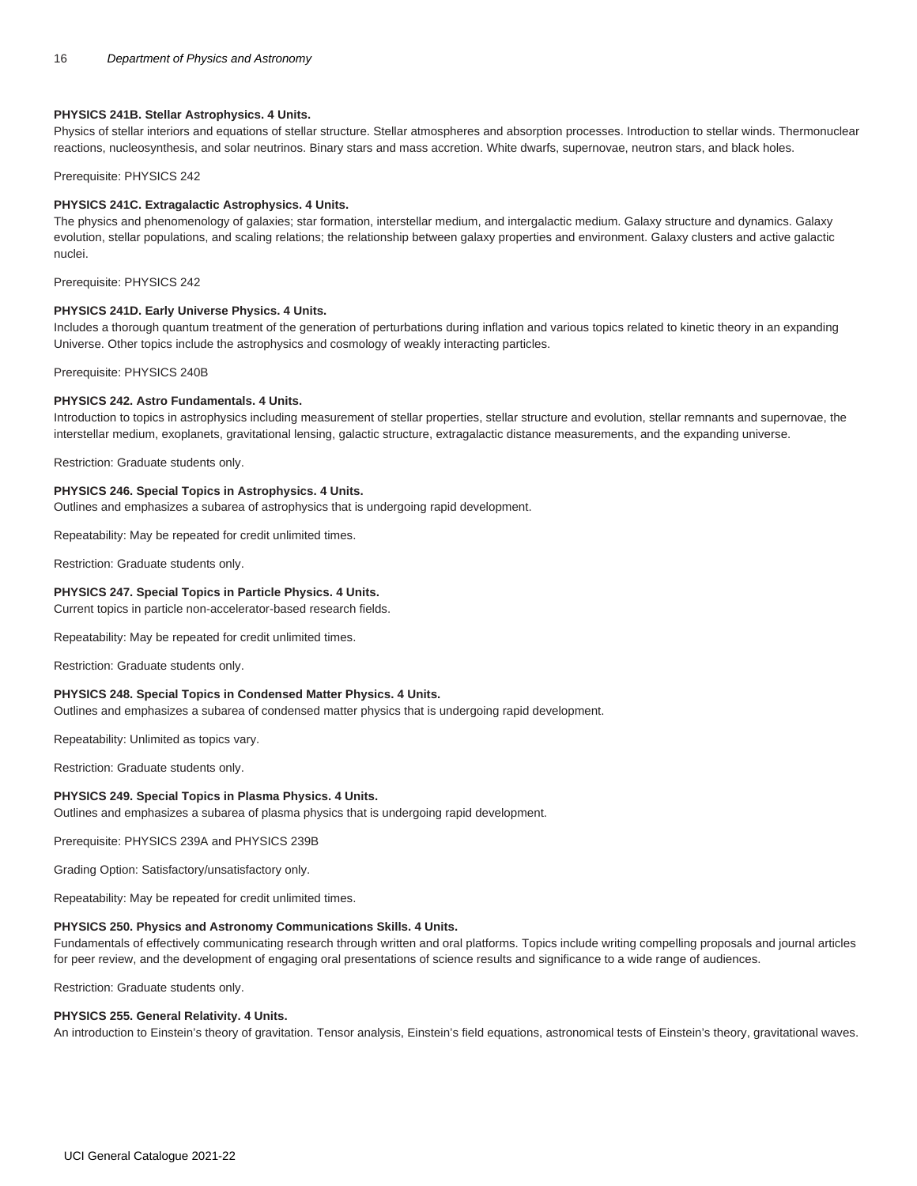# **PHYSICS 241B. Stellar Astrophysics. 4 Units.**

Physics of stellar interiors and equations of stellar structure. Stellar atmospheres and absorption processes. Introduction to stellar winds. Thermonuclear reactions, nucleosynthesis, and solar neutrinos. Binary stars and mass accretion. White dwarfs, supernovae, neutron stars, and black holes.

Prerequisite: [PHYSICS 242](/search/?P=PHYSICS%20242)

#### **PHYSICS 241C. Extragalactic Astrophysics. 4 Units.**

The physics and phenomenology of galaxies; star formation, interstellar medium, and intergalactic medium. Galaxy structure and dynamics. Galaxy evolution, stellar populations, and scaling relations; the relationship between galaxy properties and environment. Galaxy clusters and active galactic nuclei.

Prerequisite: [PHYSICS 242](/search/?P=PHYSICS%20242)

#### **PHYSICS 241D. Early Universe Physics. 4 Units.**

Includes a thorough quantum treatment of the generation of perturbations during inflation and various topics related to kinetic theory in an expanding Universe. Other topics include the astrophysics and cosmology of weakly interacting particles.

Prerequisite: [PHYSICS 240B](/search/?P=PHYSICS%20240B)

#### **PHYSICS 242. Astro Fundamentals. 4 Units.**

Introduction to topics in astrophysics including measurement of stellar properties, stellar structure and evolution, stellar remnants and supernovae, the interstellar medium, exoplanets, gravitational lensing, galactic structure, extragalactic distance measurements, and the expanding universe.

Restriction: Graduate students only.

#### **PHYSICS 246. Special Topics in Astrophysics. 4 Units.**

Outlines and emphasizes a subarea of astrophysics that is undergoing rapid development.

Repeatability: May be repeated for credit unlimited times.

Restriction: Graduate students only.

#### **PHYSICS 247. Special Topics in Particle Physics. 4 Units.**

Current topics in particle non-accelerator-based research fields.

Repeatability: May be repeated for credit unlimited times.

Restriction: Graduate students only.

# **PHYSICS 248. Special Topics in Condensed Matter Physics. 4 Units.**

Outlines and emphasizes a subarea of condensed matter physics that is undergoing rapid development.

Repeatability: Unlimited as topics vary.

Restriction: Graduate students only.

#### **PHYSICS 249. Special Topics in Plasma Physics. 4 Units.**

Outlines and emphasizes a subarea of plasma physics that is undergoing rapid development.

Prerequisite: [PHYSICS 239A](/search/?P=PHYSICS%20239A) and [PHYSICS 239B](/search/?P=PHYSICS%20239B)

Grading Option: Satisfactory/unsatisfactory only.

Repeatability: May be repeated for credit unlimited times.

#### **PHYSICS 250. Physics and Astronomy Communications Skills. 4 Units.**

Fundamentals of effectively communicating research through written and oral platforms. Topics include writing compelling proposals and journal articles for peer review, and the development of engaging oral presentations of science results and significance to a wide range of audiences.

Restriction: Graduate students only.

#### **PHYSICS 255. General Relativity. 4 Units.**

An introduction to Einstein's theory of gravitation. Tensor analysis, Einstein's field equations, astronomical tests of Einstein's theory, gravitational waves.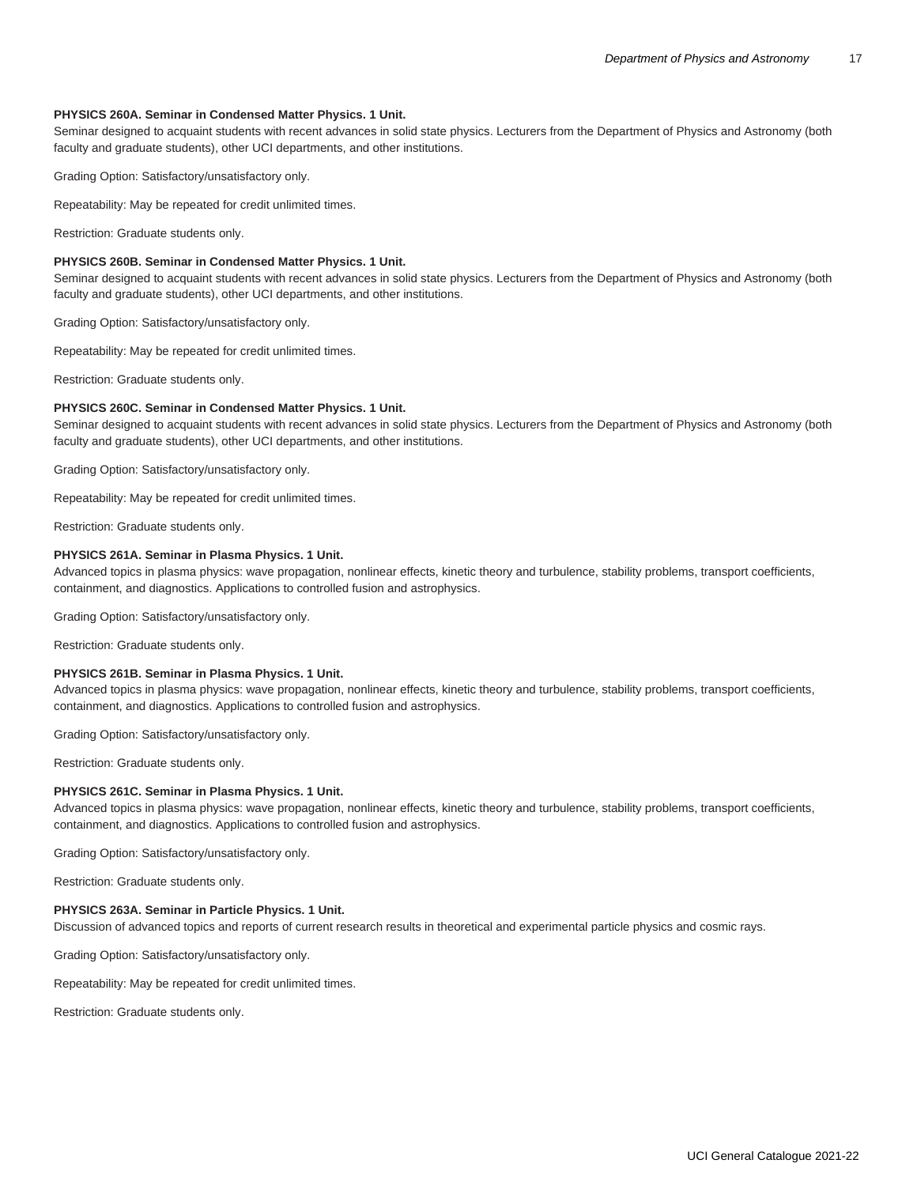#### **PHYSICS 260A. Seminar in Condensed Matter Physics. 1 Unit.**

Seminar designed to acquaint students with recent advances in solid state physics. Lecturers from the Department of Physics and Astronomy (both faculty and graduate students), other UCI departments, and other institutions.

Grading Option: Satisfactory/unsatisfactory only.

Repeatability: May be repeated for credit unlimited times.

Restriction: Graduate students only.

# **PHYSICS 260B. Seminar in Condensed Matter Physics. 1 Unit.**

Seminar designed to acquaint students with recent advances in solid state physics. Lecturers from the Department of Physics and Astronomy (both faculty and graduate students), other UCI departments, and other institutions.

Grading Option: Satisfactory/unsatisfactory only.

Repeatability: May be repeated for credit unlimited times.

Restriction: Graduate students only.

#### **PHYSICS 260C. Seminar in Condensed Matter Physics. 1 Unit.**

Seminar designed to acquaint students with recent advances in solid state physics. Lecturers from the Department of Physics and Astronomy (both faculty and graduate students), other UCI departments, and other institutions.

Grading Option: Satisfactory/unsatisfactory only.

Repeatability: May be repeated for credit unlimited times.

Restriction: Graduate students only.

# **PHYSICS 261A. Seminar in Plasma Physics. 1 Unit.**

Advanced topics in plasma physics: wave propagation, nonlinear effects, kinetic theory and turbulence, stability problems, transport coefficients, containment, and diagnostics. Applications to controlled fusion and astrophysics.

Grading Option: Satisfactory/unsatisfactory only.

Restriction: Graduate students only.

# **PHYSICS 261B. Seminar in Plasma Physics. 1 Unit.**

Advanced topics in plasma physics: wave propagation, nonlinear effects, kinetic theory and turbulence, stability problems, transport coefficients, containment, and diagnostics. Applications to controlled fusion and astrophysics.

Grading Option: Satisfactory/unsatisfactory only.

Restriction: Graduate students only.

#### **PHYSICS 261C. Seminar in Plasma Physics. 1 Unit.**

Advanced topics in plasma physics: wave propagation, nonlinear effects, kinetic theory and turbulence, stability problems, transport coefficients, containment, and diagnostics. Applications to controlled fusion and astrophysics.

Grading Option: Satisfactory/unsatisfactory only.

Restriction: Graduate students only.

# **PHYSICS 263A. Seminar in Particle Physics. 1 Unit.**

Discussion of advanced topics and reports of current research results in theoretical and experimental particle physics and cosmic rays.

Grading Option: Satisfactory/unsatisfactory only.

Repeatability: May be repeated for credit unlimited times.

Restriction: Graduate students only.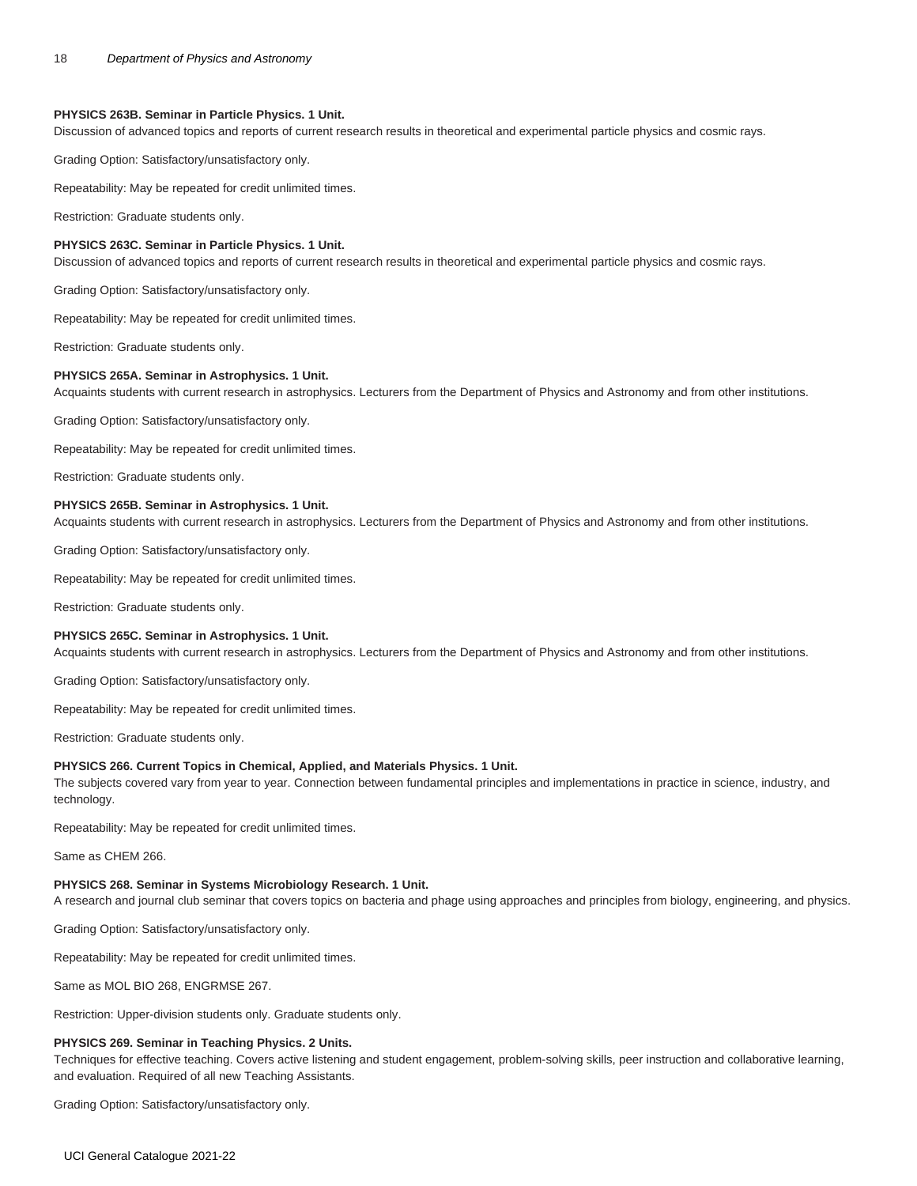# **PHYSICS 263B. Seminar in Particle Physics. 1 Unit.**

Discussion of advanced topics and reports of current research results in theoretical and experimental particle physics and cosmic rays.

Grading Option: Satisfactory/unsatisfactory only.

Repeatability: May be repeated for credit unlimited times.

Restriction: Graduate students only.

# **PHYSICS 263C. Seminar in Particle Physics. 1 Unit.**

Discussion of advanced topics and reports of current research results in theoretical and experimental particle physics and cosmic rays.

Grading Option: Satisfactory/unsatisfactory only.

Repeatability: May be repeated for credit unlimited times.

Restriction: Graduate students only.

#### **PHYSICS 265A. Seminar in Astrophysics. 1 Unit.**

Acquaints students with current research in astrophysics. Lecturers from the Department of Physics and Astronomy and from other institutions.

Grading Option: Satisfactory/unsatisfactory only.

Repeatability: May be repeated for credit unlimited times.

Restriction: Graduate students only.

#### **PHYSICS 265B. Seminar in Astrophysics. 1 Unit.**

Acquaints students with current research in astrophysics. Lecturers from the Department of Physics and Astronomy and from other institutions.

Grading Option: Satisfactory/unsatisfactory only.

Repeatability: May be repeated for credit unlimited times.

Restriction: Graduate students only.

#### **PHYSICS 265C. Seminar in Astrophysics. 1 Unit.**

Acquaints students with current research in astrophysics. Lecturers from the Department of Physics and Astronomy and from other institutions.

Grading Option: Satisfactory/unsatisfactory only.

Repeatability: May be repeated for credit unlimited times.

Restriction: Graduate students only.

#### **PHYSICS 266. Current Topics in Chemical, Applied, and Materials Physics. 1 Unit.**

The subjects covered vary from year to year. Connection between fundamental principles and implementations in practice in science, industry, and technology.

Repeatability: May be repeated for credit unlimited times.

Same as [CHEM 266.](/search/?P=CHEM%20266)

#### **PHYSICS 268. Seminar in Systems Microbiology Research. 1 Unit.**

A research and journal club seminar that covers topics on bacteria and phage using approaches and principles from biology, engineering, and physics.

Grading Option: Satisfactory/unsatisfactory only.

Repeatability: May be repeated for credit unlimited times.

Same as [MOL BIO 268,](/search/?P=MOL%20BIO%20268) [ENGRMSE 267](/search/?P=ENGRMSE%20267).

Restriction: Upper-division students only. Graduate students only.

# **PHYSICS 269. Seminar in Teaching Physics. 2 Units.**

Techniques for effective teaching. Covers active listening and student engagement, problem-solving skills, peer instruction and collaborative learning, and evaluation. Required of all new Teaching Assistants.

Grading Option: Satisfactory/unsatisfactory only.